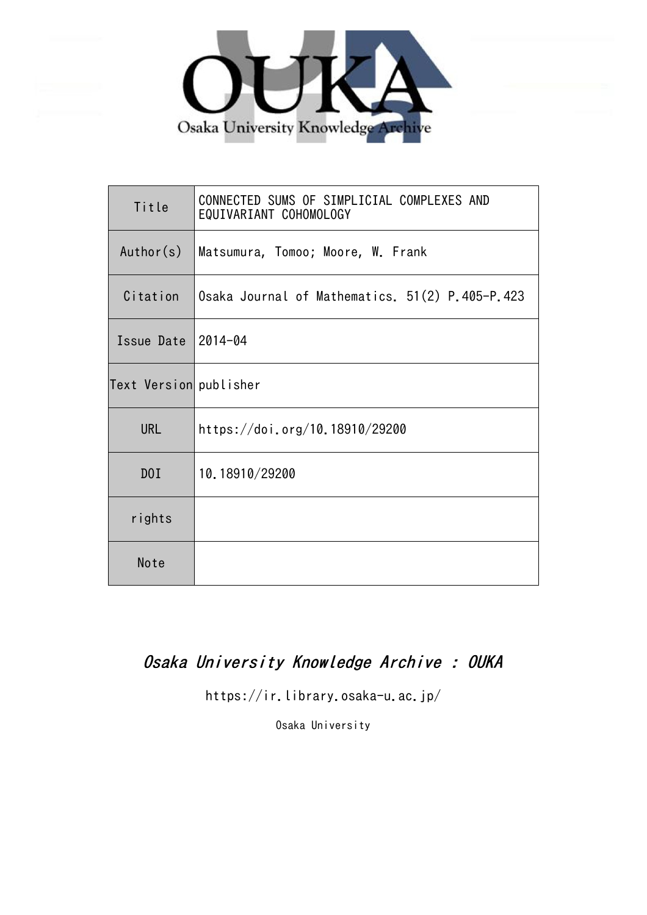

| Title                  | CONNECTED SUMS OF SIMPLICIAL COMPLEXES AND<br>EQUIVARIANT COHOMOLOGY |
|------------------------|----------------------------------------------------------------------|
| Author(s)              | Matsumura, Tomoo; Moore, W. Frank                                    |
| Citation               | Osaka Journal of Mathematics. 51(2) P.405-P.423                      |
| Issue Date 2014-04     |                                                                      |
| Text Version publisher |                                                                      |
| <b>URL</b>             | https://doi.org/10.18910/29200                                       |
| DOI                    | 10.18910/29200                                                       |
| rights                 |                                                                      |
| Note                   |                                                                      |

# Osaka University Knowledge Archive : OUKA

https://ir.library.osaka-u.ac.jp/

Osaka University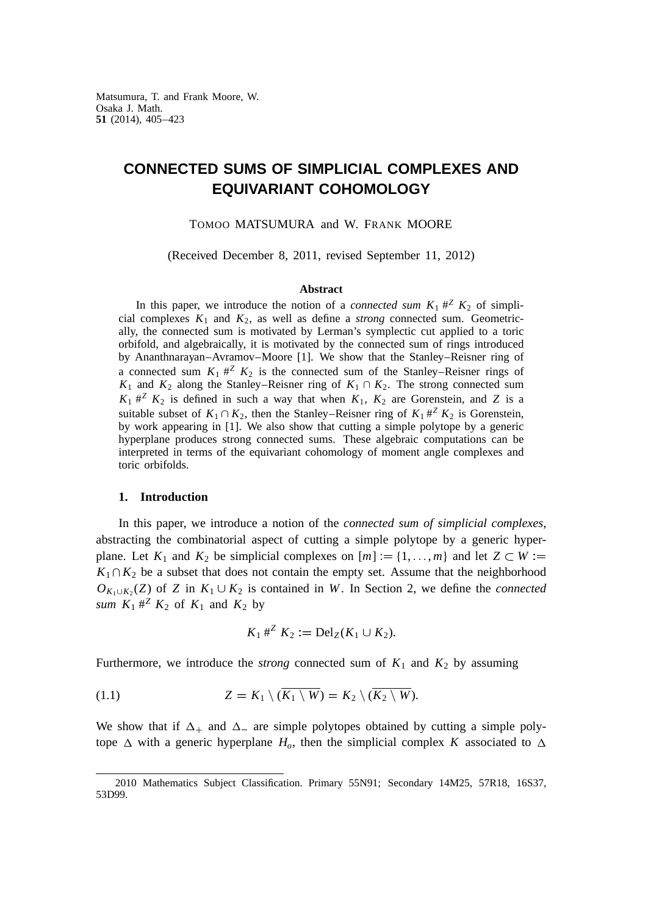Matsumura, T. and Frank Moore, W. Osaka J. Math. **51** (2014), 405–423

# **CONNECTED SUMS OF SIMPLICIAL COMPLEXES AND EQUIVARIANT COHOMOLOGY**

TOMOO MATSUMURA and W. FRANK MOORE

(Received December 8, 2011, revised September 11, 2012)

## **Abstract**

In this paper, we introduce the notion of a *connected sum*  $K_1 \#^Z K_2$  of simplicial complexes  $K_1$  and  $K_2$ , as well as define a *strong* connected sum. Geometrically, the connected sum is motivated by Lerman's symplectic cut applied to a toric orbifold, and algebraically, it is motivated by the connected sum of rings introduced by Ananthnarayan–Avramov–Moore [1]. We show that the Stanley–Reisner ring of a connected sum  $K_1 \#^Z K_2$  is the connected sum of the Stanley–Reisner rings of  $K_1$  and  $K_2$  along the Stanley–Reisner ring of  $K_1 \cap K_2$ . The strong connected sum  $K_1$   $\#^Z$   $K_2$  is defined in such a way that when  $K_1$ ,  $K_2$  are Gorenstein, and *Z* is a suitable subset of  $K_1 \cap K_2$ , then the Stanley–Reisner ring of  $K_1 \#^Z K_2$  is Gorenstein, by work appearing in [1]. We also show that cutting a simple polytope by a generic hyperplane produces strong connected sums. These algebraic computations can be interpreted in terms of the equivariant cohomology of moment angle complexes and toric orbifolds.

#### **1. Introduction**

In this paper, we introduce a notion of the *connected sum of simplicial complexes*, abstracting the combinatorial aspect of cutting a simple polytope by a generic hyperplane. Let  $K_1$  and  $K_2$  be simplicial complexes on  $[m] := \{1, \ldots, m\}$  and let  $Z \subset W :=$  $K_1 \cap K_2$  be a subset that does not contain the empty set. Assume that the neighborhood  $O_{K_1 \cup K_2}(Z)$  of *Z* in  $K_1 \cup K_2$  is contained in *W*. In Section 2, we define the *connected sum*  $K_1$   $\#^Z$   $K_2$  of  $K_1$  and  $K_2$  by

$$
K_1 \#^Z K_2 := \text{Del}_Z(K_1 \cup K_2).
$$

Furthermore, we introduce the *strong* connected sum of  $K_1$  and  $K_2$  by assuming

$$
(1.1) \t\t Z = K_1 \setminus (\overline{K_1 \setminus W}) = K_2 \setminus (\overline{K_2 \setminus W}).
$$

We show that if  $\Delta_+$  and  $\Delta_-$  are simple polytopes obtained by cutting a simple polytope  $\Delta$  with a generic hyperplane  $H_o$ , then the simplicial complex *K* associated to  $\Delta$ 

<sup>2010</sup> Mathematics Subject Classification. Primary 55N91; Secondary 14M25, 57R18, 16S37, 53D99.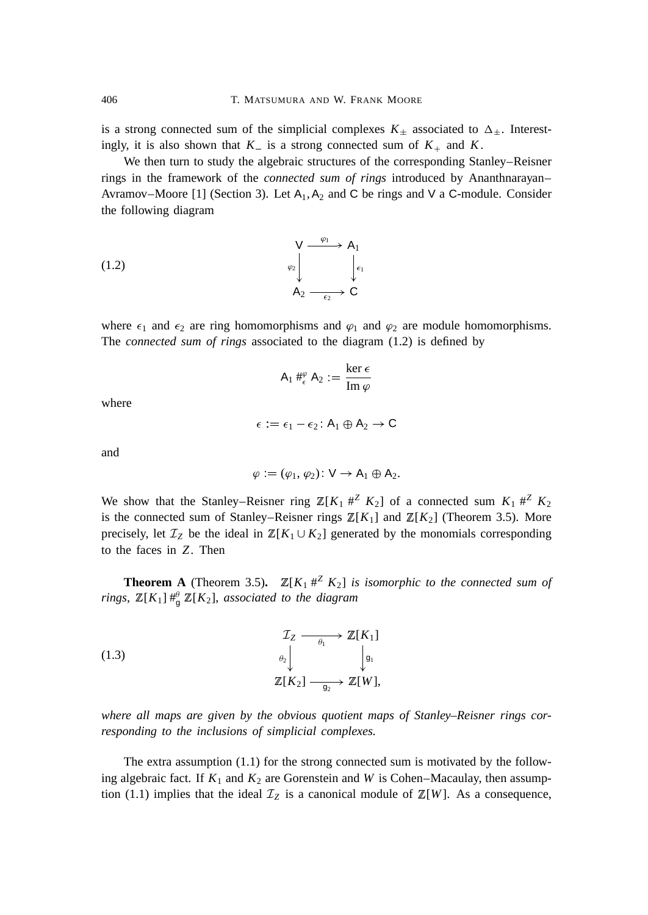is a strong connected sum of the simplicial complexes  $K_{\pm}$  associated to  $\Delta_{\pm}$ . Interestingly, it is also shown that  $K_{-}$  is a strong connected sum of  $K_{+}$  and  $K$ .

We then turn to study the algebraic structures of the corresponding Stanley–Reisner rings in the framework of the *connected sum of rings* introduced by Ananthnarayan– Avramov–Moore [1] (Section 3). Let  $A_1, A_2$  and C be rings and V a C-module. Consider the following diagram

(1.2) 
$$
\begin{array}{ccc}\n & \vee & \xrightarrow{\varphi_1} & A_1 \\
& \downarrow & \downarrow \\
& \downarrow & \downarrow \\
& A_2 & \xrightarrow{\epsilon_2} & C\n\end{array}
$$

where  $\epsilon_1$  and  $\epsilon_2$  are ring homomorphisms and  $\varphi_1$  and  $\varphi_2$  are module homomorphisms. The *connected sum of rings* associated to the diagram (1.2) is defined by

$$
\mathsf{A}_1 \mathbin{\#^{\varphi}_{\epsilon}} \mathsf{A}_2 := \frac{\ker \epsilon}{\text{Im } \varphi}
$$

where

 $\epsilon := \epsilon_1 - \epsilon_2$ :  $A_1 \oplus A_2 \rightarrow C$ 

and

$$
\varphi := (\varphi_1, \varphi_2) \ \mathsf{V} \to \mathsf{A}_1 \oplus \mathsf{A}_2.
$$

We show that the Stanley–Reisner ring  $\mathbb{Z}[K_1 \#^Z K_2]$  of a connected sum  $K_1 \#^Z K_2$ is the connected sum of Stanley–Reisner rings  $\mathbb{Z}[K_1]$  and  $\mathbb{Z}[K_2]$  (Theorem 3.5). More precisely, let  $\mathcal{I}_Z$  be the ideal in  $\mathbb{Z}[K_1 \cup K_2]$  generated by the monomials corresponding to the faces in *Z*. Then

**Theorem A** (Theorem 3.5).  $\mathbb{Z}[K_1 \#^Z K_2]$  *is isomorphic to the connected sum of rings*,  $\mathbb{Z}[K_1] \#_{\mathfrak{g}}^{\theta} \mathbb{Z}[K_2]$ , *associated to the diagram* 

(1.3)  

$$
\begin{array}{ccc}\n & \mathcal{I}_Z & \longrightarrow & \mathbb{Z}[K_1] \\
& \downarrow_{\mathfrak{g}_1} & \downarrow_{\mathfrak{g}_1} \\
& \mathbb{Z}[K_2] & \longrightarrow & \mathbb{Z}[W],\n\end{array}
$$

*where all maps are given by the obvious quotient maps of Stanley–Reisner rings corresponding to the inclusions of simplicial complexes.*

The extra assumption (1.1) for the strong connected sum is motivated by the following algebraic fact. If  $K_1$  and  $K_2$  are Gorenstein and W is Cohen–Macaulay, then assumption (1.1) implies that the ideal  $\mathcal{I}_Z$  is a canonical module of  $\mathbb{Z}[W]$ . As a consequence,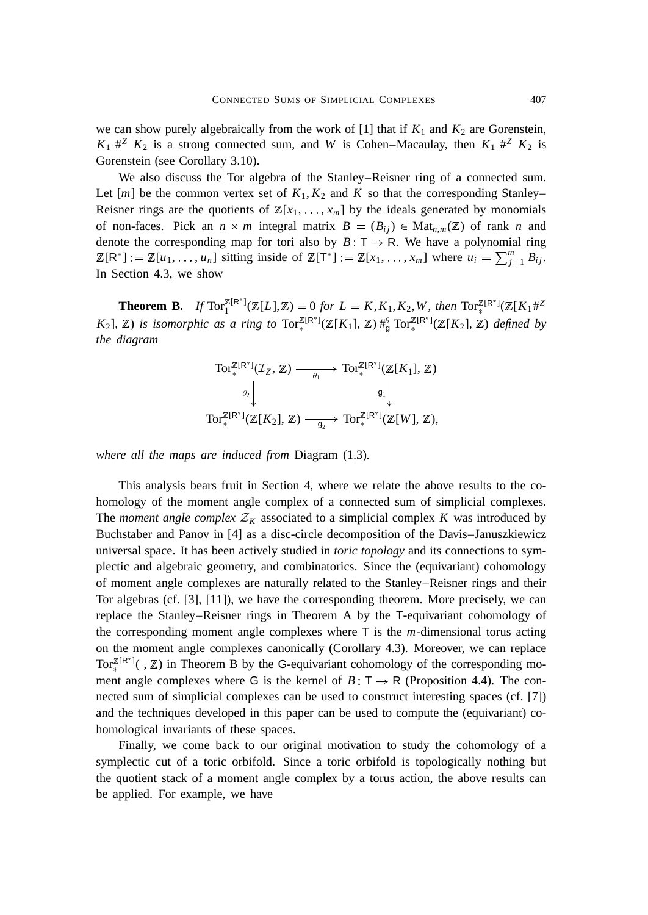we can show purely algebraically from the work of  $[1]$  that if  $K_1$  and  $K_2$  are Gorenstein,  $K_1$   $\#^Z$   $K_2$  is a strong connected sum, and *W* is Cohen–Macaulay, then  $K_1$   $\#^Z$   $K_2$  is Gorenstein (see Corollary 3.10).

We also discuss the Tor algebra of the Stanley–Reisner ring of a connected sum. Let  $[m]$  be the common vertex set of  $K_1, K_2$  and  $K$  so that the corresponding Stanley– Reisner rings are the quotients of  $\mathbb{Z}[x_1, \ldots, x_m]$  by the ideals generated by monomials of non-faces. Pick an  $n \times m$  integral matrix  $B = (B_{ij}) \in Mat_{n,m}(\mathbb{Z})$  of rank *n* and denote the corresponding map for tori also by  $B: T \rightarrow R$ . We have a polynomial ring  $\mathbb{Z}[\mathsf{R}^*] := \mathbb{Z}[u_1, \ldots, u_n]$  sitting inside of  $\mathbb{Z}[\mathsf{T}^*] := \mathbb{Z}[x_1, \ldots, x_m]$  where  $u_i = \sum_{j=1}^m B_{ij}$ . In Section 4.3, we show

**Theorem B.** *If*  $Tor_1^{\mathbb{Z}[R^*]}(\mathbb{Z}[L], \mathbb{Z}) = 0$  *for*  $L = K, K_1, K_2, W$ , *then*  $Tor_*^{\mathbb{Z}[R^*]}(\mathbb{Z}[K_1 \# \mathbb{Z}])$  $K_2$ ],  $\mathbb{Z}$ ) *is isomorphic as a ring to*  $Tor_*^{\mathbb{Z}[R^*]}(\mathbb{Z}[K_1], \mathbb{Z}) \#_{g}^{\theta} Tor_*^{\mathbb{Z}[R^*]}(\mathbb{Z}[K_2], \mathbb{Z})$  *defined by the diagram*

$$
\operatorname{Tor}^{\mathbb{Z}[R^*]}_{*}(\mathcal{I}_Z, \mathbb{Z}) \longrightarrow \operatorname{Tor}^{\mathbb{Z}[R^*]}_{*}(\mathbb{Z}[K_1], \mathbb{Z})
$$
\n
$$
\downarrow \qquad \qquad \downarrow \qquad \qquad \mathfrak{g}_1 \downarrow
$$
\n
$$
\operatorname{Tor}^{\mathbb{Z}[R^*]}_{*}(\mathbb{Z}[K_2], \mathbb{Z}) \longrightarrow \operatorname{Tor}^{\mathbb{Z}[R^*]}_{*}(\mathbb{Z}[W], \mathbb{Z}),
$$

*where all the maps are induced from* Diagram (1.3)*.*

This analysis bears fruit in Section 4, where we relate the above results to the cohomology of the moment angle complex of a connected sum of simplicial complexes. The *moment angle complex*  $Z_K$  associated to a simplicial complex K was introduced by Buchstaber and Panov in [4] as a disc-circle decomposition of the Davis–Januszkiewicz universal space. It has been actively studied in *toric topology* and its connections to symplectic and algebraic geometry, and combinatorics. Since the (equivariant) cohomology of moment angle complexes are naturally related to the Stanley–Reisner rings and their Tor algebras (cf. [3], [11]), we have the corresponding theorem. More precisely, we can replace the Stanley–Reisner rings in Theorem A by the T-equivariant cohomology of the corresponding moment angle complexes where T is the *m*-dimensional torus acting on the moment angle complexes canonically (Corollary 4.3). Moreover, we can replace  $Tor_*^{\mathbb{Z}[R^*]}($ ,  $\mathbb{Z})$  in Theorem B by the G-equivariant cohomology of the corresponding moment angle complexes where G is the kernel of  $B: T \rightarrow R$  (Proposition 4.4). The connected sum of simplicial complexes can be used to construct interesting spaces (cf. [7]) and the techniques developed in this paper can be used to compute the (equivariant) cohomological invariants of these spaces.

Finally, we come back to our original motivation to study the cohomology of a symplectic cut of a toric orbifold. Since a toric orbifold is topologically nothing but the quotient stack of a moment angle complex by a torus action, the above results can be applied. For example, we have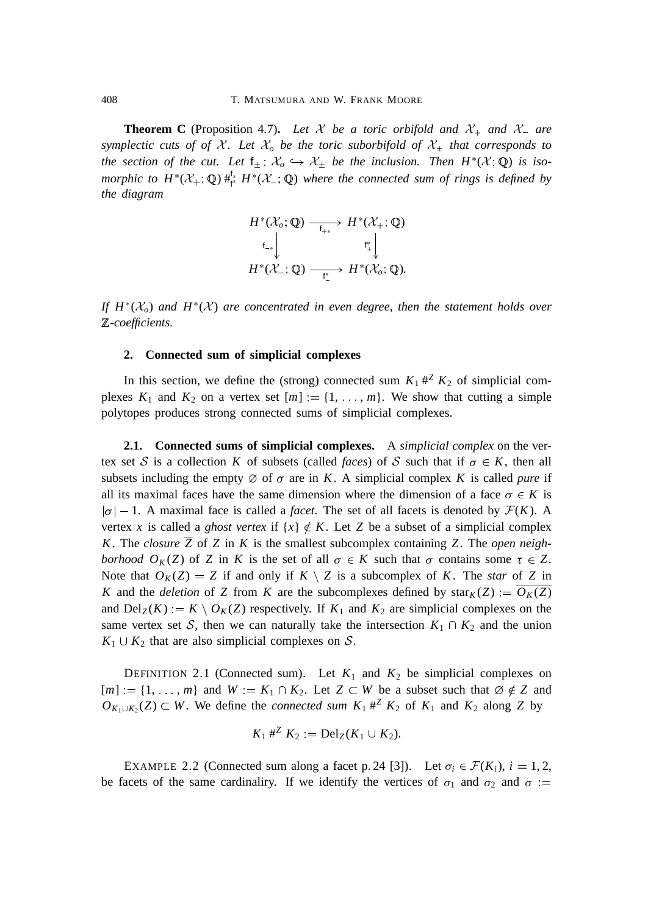**Theorem C** (Proposition 4.7). Let X be a toric orbifold and  $X_+$  and  $X_-$  are *symplectic cuts of of X. Let*  $\mathcal{X}_o$  *be the toric suborbifold of*  $\mathcal{X}_\pm$  *that corresponds to the section of the cut.* Let  $f_{\pm}$ :  $\mathcal{X}_o \hookrightarrow \mathcal{X}_{\pm}$  *be the inclusion. Then*  $H^*(\mathcal{X};\mathbb{Q})$  *is isomorphic to*  $H^*(X_+; \mathbb{Q})$   $\#_{\mathfrak{f}^*}^{\mathfrak{f}_*} H^*(X_-; \mathbb{Q})$  where the connected sum of rings is defined by *the diagram*

$$
H^*(\mathcal{X}_o; \mathbb{Q}) \xrightarrow[\mathsf{f}_{+*}]{} H^*(\mathcal{X}_+; \mathbb{Q})
$$
  

$$
\downarrow \qquad \qquad \downarrow \qquad \qquad \mathsf{f}_+^* \downarrow
$$
  

$$
H^*(\mathcal{X}_-; \mathbb{Q}) \xrightarrow[\mathsf{f}]]{} H^*(\mathcal{X}_o; \mathbb{Q}).
$$

*If*  $H^*(X_o)$  *and*  $H^*(X)$  *are concentrated in even degree, then the statement holds over* <sup>Z</sup>*-coefficients.*

## **2. Connected sum of simplicial complexes**

In this section, we define the (strong) connected sum  $K_1 \#^Z K_2$  of simplicial complexes  $K_1$  and  $K_2$  on a vertex set  $[m] := \{1, \ldots, m\}$ . We show that cutting a simple polytopes produces strong connected sums of simplicial complexes.

**2.1. Connected sums of simplicial complexes.** A *simplicial complex* on the vertex set S is a collection K of subsets (called *faces*) of S such that if  $\sigma \in K$ , then all subsets including the empty  $\emptyset$  of  $\sigma$  are in *K*. A simplicial complex *K* is called *pure* if all its maximal faces have the same dimension where the dimension of a face  $\sigma \in K$  is  $|\sigma| - 1$ . A maximal face is called a *facet*. The set of all facets is denoted by  $\mathcal{F}(K)$ . A vertex *x* is called a *ghost vertex* if  $\{x\} \notin K$ . Let *Z* be a subset of a simplicial complex *K*. The *closure*  $\overline{Z}$  of *Z* in *K* is the smallest subcomplex containing *Z*. The *open neighborhood*  $O_K(Z)$  of *Z* in *K* is the set of all  $\sigma \in K$  such that  $\sigma$  contains some  $\tau \in Z$ . Note that  $O_K(Z) = Z$  if and only if  $K \setminus Z$  is a subcomplex of *K*. The *star* of *Z* in *K* and the *deletion* of *Z* from *K* are the subcomplexes defined by star<sub>*K*</sub>(*Z*)  $\frac{d}{dx}$   $\frac{d}{dx}$ and  $Del_Z(K) := K \setminus O_K(Z)$  respectively. If  $K_1$  and  $K_2$  are simplicial complexes on the same vertex set S, then we can naturally take the intersection  $K_1 \cap K_2$  and the union  $K_1 \cup K_2$  that are also simplicial complexes on S.

DEFINITION 2.1 (Connected sum). Let  $K_1$  and  $K_2$  be simplicial complexes on  $[m] := \{1, \ldots, m\}$  and  $W := K_1 \cap K_2$ . Let  $Z \subset W$  be a subset such that  $\emptyset \notin Z$  and  $O_{K_1 \cup K_2}(Z) \subset W$ . We define the *connected sum*  $K_1 \#^Z K_2$  of  $K_1$  and  $K_2$  along *Z* by

$$
K_1 \#^Z K_2 := \text{Del}_Z(K_1 \cup K_2).
$$

EXAMPLE 2.2 (Connected sum along a facet p. 24 [3]). Let  $\sigma_i \in \mathcal{F}(K_i)$ ,  $i = 1, 2$ , be facets of the same cardinaliry. If we identify the vertices of  $\sigma_1$  and  $\sigma_2$  and  $\sigma :=$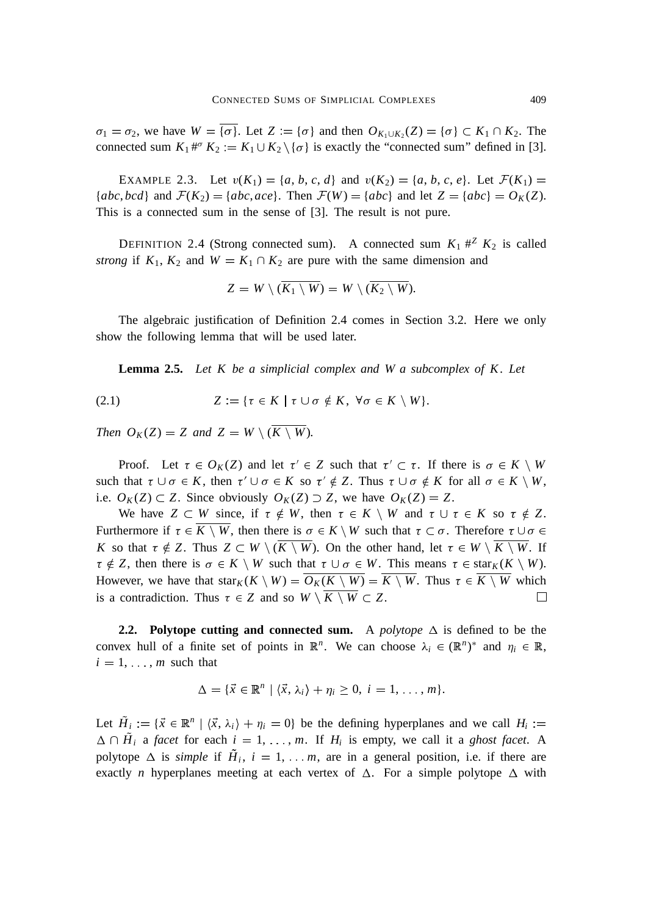$\sigma_1 = \sigma_2$ , we have  $W = {\sigma}$ . Let  $Z = {\sigma}$  and then  $O_{K_1 \cup K_2}(Z) = {\sigma} \subset K_1 \cap K_2$ . The connected sum  $K_1$ <sup>#*''*</sup>  $K_2 := K_1 \cup K_2 \setminus {\sigma}$  is exactly the "connected sum" defined in [3].

EXAMPLE 2.3. Let  $v(K_1) = \{a, b, c, d\}$  and  $v(K_2) = \{a, b, c, e\}$ . Let  $\mathcal{F}(K_1) =$ { $abc, bcd$ } and  $\mathcal{F}(K_2) = \{abc, ace\}$ . Then  $\mathcal{F}(W) = \{abc\}$  and let  $Z = \{abc\} = O_K(Z)$ . This is a connected sum in the sense of [3]. The result is not pure.

DEFINITION 2.4 (Strong connected sum). A connected sum  $K_1 \#^Z K_2$  is called *strong* if  $K_1, K_2$  and  $W = K_1 \cap K_2$  are pure with the same dimension and

$$
Z = W \setminus (\overline{K_1 \setminus W}) = W \setminus (\overline{K_2 \setminus W}).
$$

The algebraic justification of Definition 2.4 comes in Section 3.2. Here we only show the following lemma that will be used later.

**Lemma 2.5.** *Let K be a simplicial complex and W a subcomplex of K. Let* 

$$
(2.1) \tZ := \{ \tau \in K \mid \tau \cup \sigma \notin K, \ \forall \sigma \in K \setminus W \}.
$$

*Then*  $O_K(Z) = Z$  *and*  $Z = W \setminus (\overline{K \setminus W})$ *.* 

Proof. Let  $\tau \in O_K(Z)$  and let  $\tau' \in Z$  such that  $\tau' \subset \tau$ . If there is  $\sigma \in K \setminus W$ such that  $\tau \cup \sigma \in K$ , then  $\tau' \cup \sigma \in K$  so  $\tau' \notin Z$ . Thus  $\tau \cup \sigma \notin K$  for all  $\sigma \in K \setminus W$ , i.e.  $O_K(Z) \subset Z$ . Since obviously  $O_K(Z) \supset Z$ , we have  $O_K(Z) = Z$ .

We have  $Z \subset W$  since, if  $\tau \notin W$ , then  $\tau \in K \setminus W$  and  $\tau \cup \tau \in K$  so  $\tau \notin Z$ . Furthermore if  $\tau \in K \setminus W$ , then there is  $\sigma \in K \setminus W$  such that  $\tau \subset \sigma$ . Therefore  $\tau \cup \sigma \in$ *K* so that  $\tau \notin Z$ . Thus  $Z \subset W \setminus (\overline{K \setminus W})$ . On the other hand, let  $\tau \in W \setminus \overline{K \setminus W}$ . If  $\tau \notin Z$ , then there is  $\sigma \in K \setminus W$  such that  $\tau \cup \sigma \in W$ . This means  $\tau \in \text{star}_K(K \setminus W)$ . However, we have that star $K(K \setminus W) = \overline{O_K(K \setminus W)} = \overline{K \setminus W}$ . Thus  $\tau \in \overline{K \setminus W}$  which is a contradiction. Thus  $\tau \in Z$  and so  $W \setminus \overline{K \setminus W} \subset Z$ .  $\Box$ 

**2.2. Polytope cutting and connected sum.** A *polytope*  $\Delta$  is defined to be the convex hull of a finite set of points in  $\mathbb{R}^n$ . We can choose  $\lambda_i \in (\mathbb{R}^n)^*$  and  $\eta_i \in \mathbb{R}$ ,  $i = 1, \ldots, m$  such that

$$
\Delta = \{ \vec{x} \in \mathbb{R}^n \mid \langle \vec{x}, \lambda_i \rangle + \eta_i \geq 0, \ i = 1, \dots, m \}.
$$

Let  $\tilde{H}_i := \{ \vec{x} \in \mathbb{R}^n \mid \langle \vec{x}, \lambda_i \rangle + \eta_i = 0 \}$  be the defining hyperplanes and we call  $H_i :=$  $\Delta \cap H_i$  a *facet* for each  $i = 1, \ldots, m$ . If  $H_i$  is empty, we call it a *ghost facet*. A polytope  $\Delta$  is *simple* if  $H_i$ ,  $i = 1, \ldots, m$ , are in a general position, i.e. if there are exactly *n* hyperplanes meeting at each vertex of  $\Delta$ . For a simple polytope  $\Delta$  with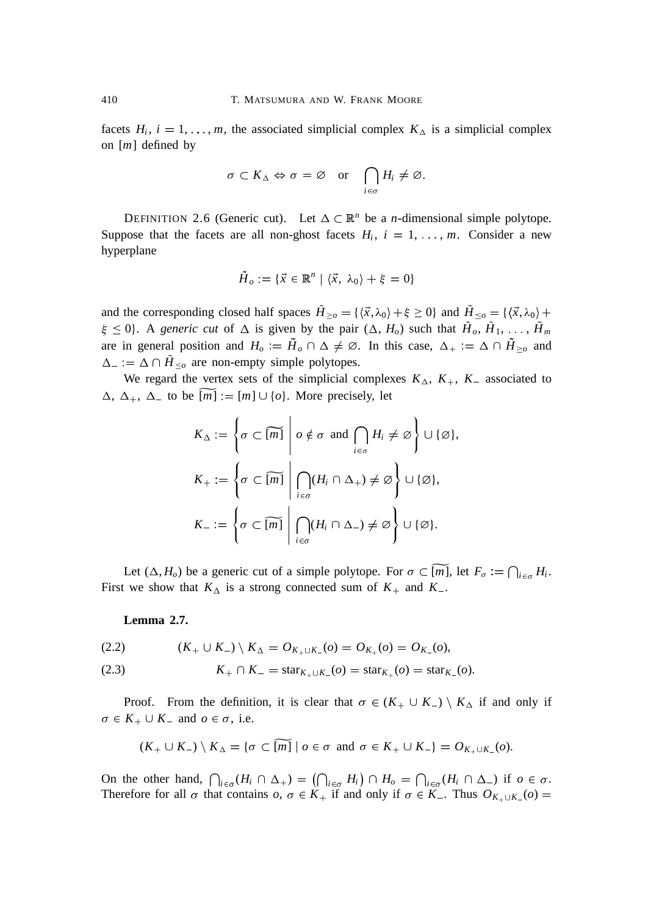facets  $H_i$ ,  $i = 1, \ldots, m$ , the associated simplicial complex  $K_{\Delta}$  is a simplicial complex on [*m*] defined by

$$
\sigma \subset K_{\Delta} \Leftrightarrow \sigma = \varnothing \quad \text{or} \quad \bigcap_{i \in \sigma} H_i \neq \varnothing.
$$

DEFINITION 2.6 (Generic cut). Let  $\Delta \subset \mathbb{R}^n$  be a *n*-dimensional simple polytope. Suppose that the facets are all non-ghost facets  $H_i$ ,  $i = 1, \ldots, m$ . Consider a new hyperplane

$$
\tilde{H}_o := \{ \vec{x} \in \mathbb{R}^n \mid \langle \vec{x}, \lambda_0 \rangle + \xi = 0 \}
$$

and the corresponding closed half spaces  $H_{\geq o} = {\{\langle \vec{x}, \lambda_0 \rangle + \xi \geq 0\}}$  and  $H_{\leq o} = {\{\langle \vec{x}, \lambda_0 \rangle + \xi \geq 0\}}$  $\xi \leq 0$ . A *generic cut* of  $\Delta$  is given by the pair  $(\Delta, H_o)$  such that  $H_o, H_1, \ldots, H_m$ are in general position and  $H_o := H_o \cap \Delta \neq \emptyset$ . In this case,  $\Delta_+ := \Delta \cap H_{\geq o}$  and  $\Delta_{-} = \Delta \cap H_{\leq o}$  are non-empty simple polytopes.

We regard the vertex sets of the simplicial complexes  $K_{\Delta}$ ,  $K_{+}$ ,  $K_{-}$  associated to  $\Delta$ ,  $\Delta$ <sub>+</sub>,  $\Delta$ <sub>-</sub> to be  $[m] := [m] \cup \{o\}$ . More precisely, let

$$
K_{\Delta} := \left\{ \sigma \subset \widetilde{[m]} \middle| \ o \notin \sigma \text{ and } \bigcap_{i \in \sigma} H_i \neq \varnothing \right\} \cup \{\varnothing\},
$$
  

$$
K_{+} := \left\{ \sigma \subset \widetilde{[m]} \middle| \bigcap_{i \in \sigma} (H_i \cap \Delta_+) \neq \varnothing \right\} \cup \{\varnothing\},
$$
  

$$
K_{-} := \left\{ \sigma \subset \widetilde{[m]} \middle| \bigcap_{i \in \sigma} (H_i \cap \Delta_-) \neq \varnothing \right\} \cup \{\varnothing\}.
$$

Let  $(\Delta, H_o)$  be a generic cut of a simple polytope. For  $\sigma \subset [m]$ , let  $F_{\sigma} := \bigcap_{i \in \sigma} H_i$ . First we show that  $K_{\Delta}$  is a strong connected sum of  $K_{+}$  and  $K_{-}$ .

#### **Lemma 2.7.**

(2.2) 
$$
(K_+ \cup K_-) \setminus K_\Delta = O_{K_+ \cup K_-}(o) = O_{K_+}(o) = O_{K_-}(o),
$$

(2.3) 
$$
K_{+} \cap K_{-} = \text{star}_{K_{+} \cup K_{-}}(o) = \text{star}_{K_{+}}(o) = \text{star}_{K_{-}}(o).
$$

Proof. From the definition, it is clear that  $\sigma \in (K_+ \cup K_-) \setminus K_\Delta$  if and only if  $\sigma \in K_+ \cup K_-$  and  $o \in \sigma$ , i.e.

$$
(K_+ \cup K_-) \setminus K_\Delta = \{ \sigma \subset \widetilde{[m]} \mid \sigma \in \sigma \text{ and } \sigma \in K_+ \cup K_- \} = O_{K_+ \cup K_-}(\sigma).
$$

On the other hand,  $\bigcap_{i \in \sigma} (H_i \cap \Delta_+) = (\bigcap_{i \in \sigma} H_i) \cap H_o = \bigcap_{i \in \sigma} (H_i \cap \Delta_-)$  if  $o \in \sigma$ . Therefore for all  $\sigma$  that contains  $o, \sigma \in K_+$  if and only if  $\sigma \in K_-$ . Thus  $O_{K_+ \cup K_-}(o) =$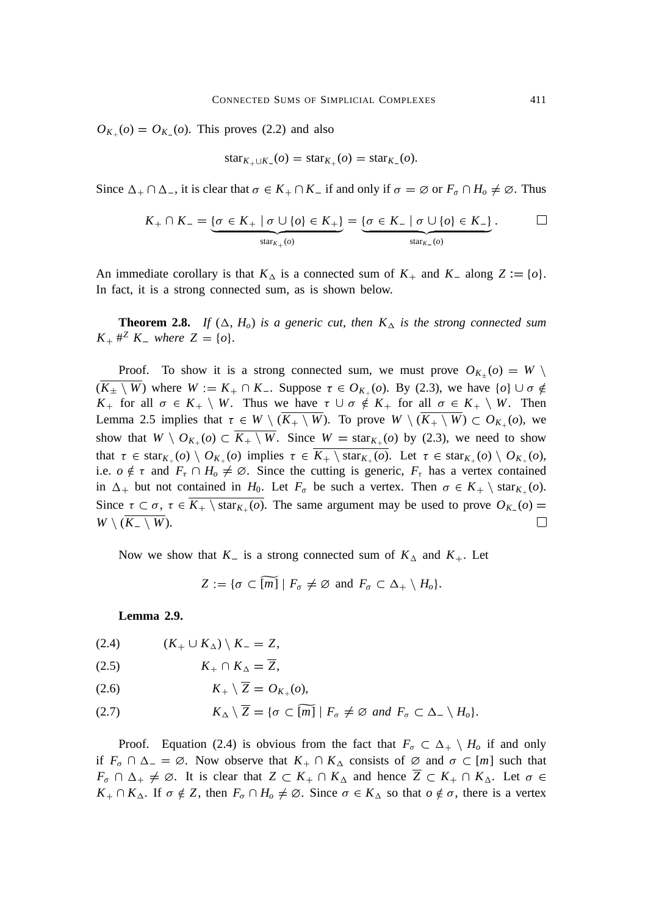$O_{K_+}(o) = O_{K_-}(o)$ . This proves (2.2) and also

$$
star_{K_+\cup K_-(o)} = star_{K_+}(o) = star_{K_-(o)}.
$$

Since  $\Delta_+ \cap \Delta_-$ , it is clear that  $\sigma \in K_+ \cap K_-$  if and only if  $\sigma = \emptyset$  or  $F_\sigma \cap H_o \neq \emptyset$ . Thus

$$
K_+ \cap K_- = \underbrace{\{\sigma \in K_+ \mid \sigma \cup \{\sigma\} \in K_+\}}_{\text{star}_{K_+}(\sigma)} = \underbrace{\{\sigma \in K_- \mid \sigma \cup \{\sigma\} \in K_-\}}_{\text{star}_{K_-}(\sigma)}.
$$

An immediate corollary is that  $K_{\Delta}$  is a connected sum of  $K_{+}$  and  $K_{-}$  along  $Z := \{o\}.$ In fact, it is a strong connected sum, as is shown below.

**Theorem 2.8.** If  $(\Delta, H_o)$  is a generic cut, then  $K_{\Delta}$  is the strong connected sum  $K_{+}$  #<sup>*Z*</sup>  $K_{-}$  where  $Z = \{o\}$ .

Proof. To show it is a strong connected sum, we must prove  $O_{K+}(o) = W \setminus$  $(\overline{K_{\pm} \setminus W})$  where  $W := K_+ \cap K_-$ . Suppose  $\tau \in O_{K_+}(\rho)$ . By (2.3), we have  $\{o\} \cup \sigma \notin$ *K*<sub>+</sub> for all  $\sigma \in K_+ \setminus W$ . Thus we have  $\tau \cup \sigma \notin K_+$  for all  $\sigma \in K_+ \setminus W$ . Then Lemma 2.5 implies that  $\tau \in W \setminus (\overline{K_+ \setminus W})$ . To prove  $W \setminus (\overline{K_+ \setminus W}) \subset O_{K_+}(o)$ , we show that  $W \setminus O_{K_+}(o) \subset \overline{K_+ \setminus W}$ . Since  $W = \text{star}_{K_+}(o)$  by (2.3), we need to show that  $\tau \in \text{star}_{K_+}(o) \setminus O_{K_+}(o)$  implies  $\tau \in \overline{K_+ \setminus \text{star}_{K_+}(o)}$ . Let  $\tau \in \text{star}_{K_+}(o) \setminus O_{K_+}(o)$ , i.e.  $o \notin \tau$  and  $F_{\tau} \cap H_o \neq \emptyset$ . Since the cutting is generic,  $F_{\tau}$  has a vertex contained in  $\Delta_+$  but not contained in  $H_0$ . Let  $F_\sigma$  be such a vertex. Then  $\sigma \in K_+ \setminus \text{star}_{K_+}(\rho)$ . Since  $\tau \subset \sigma$ ,  $\tau \in \overline{K_+ \setminus \text{star}_{K_+}(o)}$ . The same argument may be used to prove  $O_{K_-}(o)$  $W \setminus (\overline{K_-\setminus W}).$  $\Box$ 

Now we show that  $K_{-}$  is a strong connected sum of  $K_{\Delta}$  and  $K_{+}$ . Let

 $Z = \{ \sigma \subset \widetilde{[m]} \mid F_{\sigma} \neq \emptyset \text{ and } F_{\sigma} \subset \Delta_+ \setminus H_{\sigma} \}.$ 

**Lemma 2.9.**

 $(K_{+} \cup K_{\Delta}) \setminus K_{-} = Z,$ 

$$
(2.5) \t K_+ \cap K_\Delta = \overline{Z},
$$

$$
(2.6) \t\t\t K_+ \setminus Z = O_{K_+}(o),
$$

(2.7)  $K_{\Delta} \setminus \overline{Z} = \{ \sigma \subset \widetilde{[m]} \mid F_{\sigma} \neq \emptyset \text{ and } F_{\sigma} \subset \Delta_- \setminus H_{\sigma} \}.$ 

Proof. Equation (2.4) is obvious from the fact that  $F_{\sigma} \subset \Delta_+ \setminus H_o$  if and only if  $F_{\sigma} \cap \Delta_{-} = \emptyset$ . Now observe that  $K_{+} \cap K_{\Delta}$  consists of  $\emptyset$  and  $\sigma \subset [m]$  such that  $F_{\sigma} \cap \Delta_+ \neq \emptyset$ . It is clear that  $Z \subset K_+ \cap K_{\Delta}$  and hence  $\overline{Z} \subset K_+ \cap K_{\Delta}$ . Let  $\sigma \in$  $K_+ \cap K_\Delta$ . If  $\sigma \notin \mathbb{Z}$ , then  $F_\sigma \cap H_o \neq \emptyset$ . Since  $\sigma \in K_\Delta$  so that  $o \notin \sigma$ , there is a vertex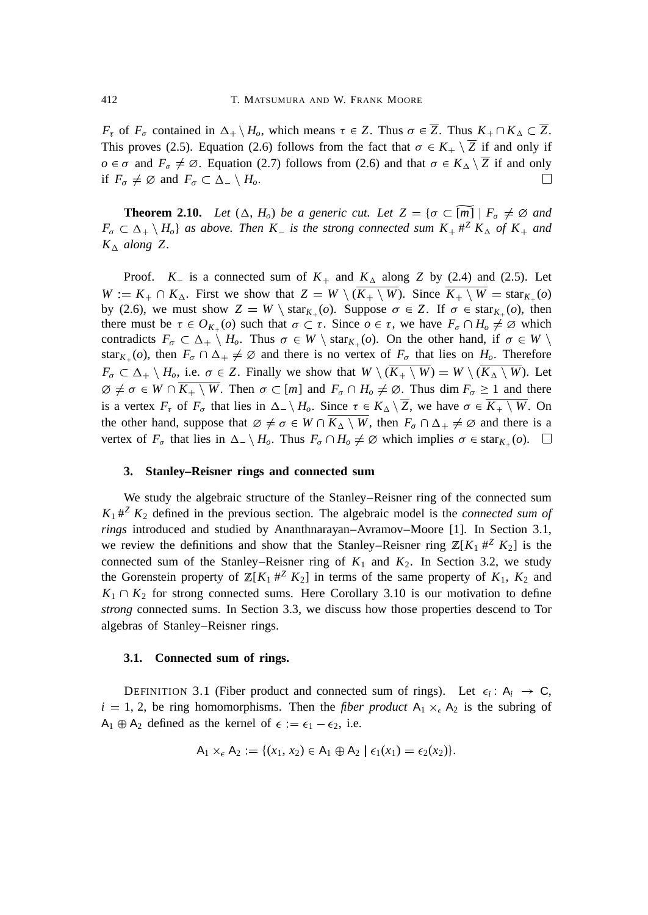*F*<sub>τ</sub> of *F*<sub> $\sigma$ </sub> contained in  $\Delta_+ \setminus H_\sigma$ , which means  $\tau \in Z$ . Thus  $\sigma \in \overline{Z}$ . Thus  $K_+ \cap K_\Delta \subset \overline{Z}$ . This proves (2.5). Equation (2.6) follows from the fact that  $\sigma \in K_+ \setminus \overline{Z}$  if and only if  $o \in \sigma$  and  $F_{\sigma} \neq \emptyset$ . Equation (2.7) follows from (2.6) and that  $\sigma \in K_{\Delta} \setminus \overline{Z}$  if and only if  $F_{\sigma} \neq \emptyset$  and  $F_{\sigma} \subset \Delta_- \setminus H_{\sigma}$ .  $\Box$ 

**Theorem 2.10.** *Let*  $(\Delta, H_o)$  *be a generic cut. Let*  $Z = {\sigma \subset \widetilde{[m]} \mid F_\sigma \neq \emptyset \text{ and }}$  $F_{\sigma} \subset \Delta_+ \setminus H_o$  *as above. Then*  $K_{-}$  *is the strong connected sum*  $K_{+} \#^{Z} K_{\Delta}$  *of*  $K_{+}$  *and*  $K_{\Delta}$  *along* Z.

Proof.  $K_{-}$  is a connected sum of  $K_{+}$  and  $K_{\Delta}$  along *Z* by (2.4) and (2.5). Let  $W := K_+ \cap K_\Delta$ . First we show that  $Z = W \setminus (\overline{K_+ \setminus W})$ . Since  $\overline{K_+ \setminus W} = \text{star}_{K_+}(o)$ by (2.6), we must show  $Z = W \setminus \text{star}_{K_{+}}(o)$ . Suppose  $\sigma \in Z$ . If  $\sigma \in \text{star}_{K_{+}}(o)$ , then there must be  $\tau \in O_{K_+}(o)$  such that  $\sigma \subset \tau$ . Since  $o \in \tau$ , we have  $F_{\sigma} \cap H_o \neq \emptyset$  which contradicts  $F_{\sigma} \subset \Delta_+ \setminus H_o$ . Thus  $\sigma \in W \setminus \text{star}_{K_+}(o)$ . On the other hand, if  $\sigma \in W \setminus$ star<sub>K<sup>+</sup></sub>(*o*), then  $F_{\sigma} \cap \Delta_+ \neq \emptyset$  and there is no vertex of  $F_{\sigma}$  that lies on  $H_o$ . Therefore  $F_{\sigma} \subset \Delta_+ \setminus H_o$ , i.e.  $\sigma \in Z$ . Finally we show that  $W \setminus (\overline{K_+ \setminus W}) = W \setminus (\overline{K_{\Delta} \setminus W})$ . Let  $\emptyset \neq \sigma \in W \cap \overline{K_+ \setminus W}$ . Then  $\sigma \subset [m]$  and  $F_{\sigma} \cap H_{\sigma} \neq \emptyset$ . Thus dim  $F_{\sigma} \geq 1$  and there is a vertex  $F_{\tau}$  of  $F_{\sigma}$  that lies in  $\Delta_{\tau} \setminus H_o$ . Since  $\tau \in K_{\Delta} \setminus \overline{Z}$ , we have  $\sigma \in \overline{K_{+} \setminus W}$ . On the other hand, suppose that  $\emptyset \neq \sigma \in W \cap \overline{K_{\Delta} \setminus W}$ , then  $F_{\sigma} \cap \Delta_+ \neq \emptyset$  and there is a vertex of  $F_{\sigma}$  that lies in  $\Delta_{\sigma} \setminus H_o$ . Thus  $F_{\sigma} \cap H_o \neq \emptyset$  which implies  $\sigma \in \text{star}_{K_+}(o)$ .  $\square$ 

#### **3. Stanley–Reisner rings and connected sum**

We study the algebraic structure of the Stanley–Reisner ring of the connected sum  $K_1$   $\#^2$   $K_2$  defined in the previous section. The algebraic model is the *connected sum of rings* introduced and studied by Ananthnarayan–Avramov–Moore [1]. In Section 3.1, we review the definitions and show that the Stanley–Reisner ring  $\mathbb{Z}[K_1 \#^Z K_2]$  is the connected sum of the Stanley–Reisner ring of  $K_1$  and  $K_2$ . In Section 3.2, we study the Gorenstein property of  $\mathbb{Z}[K_1 \#^Z K_2]$  in terms of the same property of  $K_1$ ,  $K_2$  and  $K_1 \cap K_2$  for strong connected sums. Here Corollary 3.10 is our motivation to define *strong* connected sums. In Section 3.3, we discuss how those properties descend to Tor algebras of Stanley–Reisner rings.

#### **3.1. Connected sum of rings.**

DEFINITION 3.1 (Fiber product and connected sum of rings). Let  $\epsilon_i$ :  $A_i \rightarrow C$ ,  $i = 1, 2$ , be ring homomorphisms. Then the *fiber product*  $A_1 \times_{\epsilon} A_2$  is the subring of  $A_1 \oplus A_2$  defined as the kernel of  $\epsilon := \epsilon_1 - \epsilon_2$ , i.e.

$$
A_1 \times_{\epsilon} A_2 = \{ (x_1, x_2) \in A_1 \oplus A_2 \mid \epsilon_1(x_1) = \epsilon_2(x_2) \}.
$$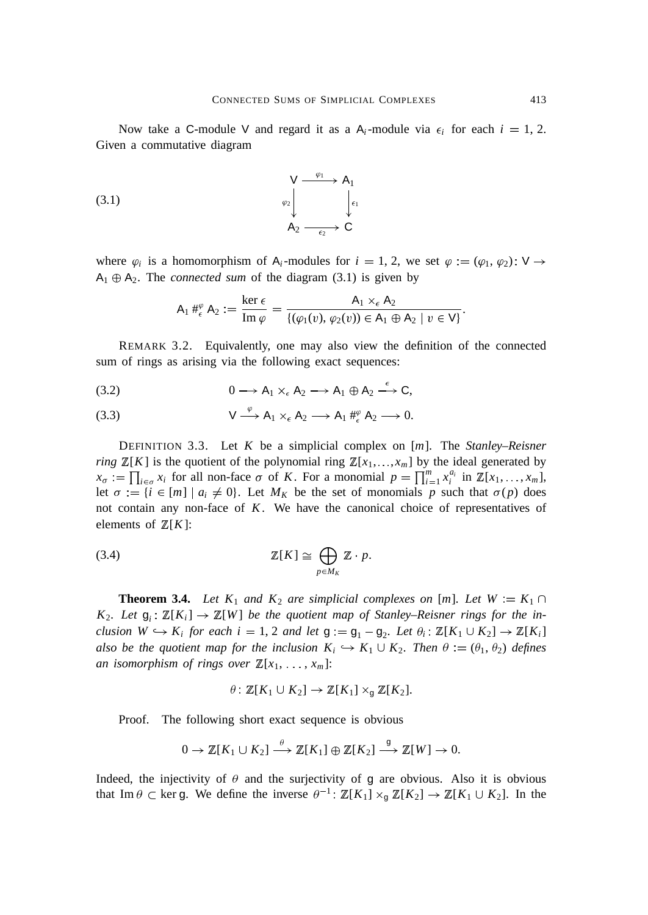Now take a C-module V and regard it as a  $A_i$ -module via  $\epsilon_i$  for each  $i = 1, 2$ . Given a commutative diagram

(3.1) 
$$
\begin{array}{ccc}\n & \vee & \xrightarrow{\varphi_1} & A_1 \\
& \downarrow & \downarrow \\
& & A_2 & \xrightarrow{\epsilon_2} & C\n\end{array}
$$

where  $\varphi_i$  is a homomorphism of A<sub>i</sub>-modules for  $i = 1, 2$ , we set  $\varphi := (\varphi_1, \varphi_2)$ . V  $\rightarrow$  $A_1 \oplus A_2$ . The *connected sum* of the diagram (3.1) is given by

$$
\mathsf{A}_1 \#_{\epsilon}^{\varphi} \mathsf{A}_2 := \frac{\ker \epsilon}{\mathrm{Im} \, \varphi} = \frac{\mathsf{A}_1 \times_{\epsilon} \mathsf{A}_2}{\{(\varphi_1(v), \varphi_2(v)) \in \mathsf{A}_1 \oplus \mathsf{A}_2 \mid v \in \mathsf{V}\}}.
$$

REMARK 3.2. Equivalently, one may also view the definition of the connected sum of rings as arising via the following exact sequences:

$$
(3.2) \t\t 0 \longrightarrow A_1 \times_{\epsilon} A_2 \longrightarrow A_1 \oplus A_2 \stackrel{\epsilon}{\longrightarrow} C,
$$

(3.3) 
$$
V \xrightarrow{\varphi} A_1 \times_{\epsilon} A_2 \longrightarrow A_1 \#_{\epsilon}^{\varphi} A_2 \longrightarrow 0.
$$

DEFINITION 3.3. Let *K* be a simplicial complex on [*m*]. The *Stanley–Reisner ring*  $\mathbb{Z}[K]$  is the quotient of the polynomial ring  $\mathbb{Z}[x_1, \ldots, x_m]$  by the ideal generated by  $x_{\sigma} := \prod_{i \in \sigma} x_i$  for all non-face  $\sigma$  of *K*. For a monomial  $p = \prod_{i=1}^{m} x_i^{a_i}$  in  $\mathbb{Z}[x_1, \ldots, x_m]$ , let  $\sigma := \{i \in [m] \mid a_i \neq 0\}$ . Let  $M_K$  be the set of monomials p such that  $\sigma(p)$  does not contain any non-face of *K*. We have the canonical choice of representatives of elements of  $\mathbb{Z}[K]$ :

$$
\mathbb{Z}[K] \cong \bigoplus_{p \in M_K} \mathbb{Z} \cdot p.
$$

**Theorem 3.4.** *Let*  $K_1$  *and*  $K_2$  *are simplicial complexes on* [*m*]*. Let*  $W := K_1 \cap$ *K*<sub>2</sub>*. Let*  $g_i$ :  $\mathbb{Z}[K_i] \to \mathbb{Z}[W]$  *be the quotient map of Stanley–Reisner rings for the inclusion*  $W \hookrightarrow K_i$  *for each i* = 1, 2 *and let*  $g := g_1 - g_2$ *. Let*  $\theta_i : \mathbb{Z}[K_1 \cup K_2] \to \mathbb{Z}[K_i]$ *also be the quotient map for the inclusion*  $K_i \hookrightarrow K_1 \cup K_2$ . Then  $\theta := (\theta_1, \theta_2)$  *defines an isomorphism of rings over*  $\mathbb{Z}[x_1, \ldots, x_m]$ :

$$
\theta: \mathbb{Z}[K_1 \cup K_2] \to \mathbb{Z}[K_1] \times_{\mathfrak{g}} \mathbb{Z}[K_2].
$$

Proof. The following short exact sequence is obvious

$$
0 \to \mathbb{Z}[K_1 \cup K_2] \stackrel{\theta}{\longrightarrow} \mathbb{Z}[K_1] \oplus \mathbb{Z}[K_2] \stackrel{g}{\longrightarrow} \mathbb{Z}[W] \to 0.
$$

Indeed, the injectivity of  $\theta$  and the surjectivity of g are obvious. Also it is obvious that Im  $\theta \subset \text{ker } g$ . We define the inverse  $\theta^{-1}$ :  $\mathbb{Z}[K_1] \times_g \mathbb{Z}[K_2] \to \mathbb{Z}[K_1 \cup K_2]$ . In the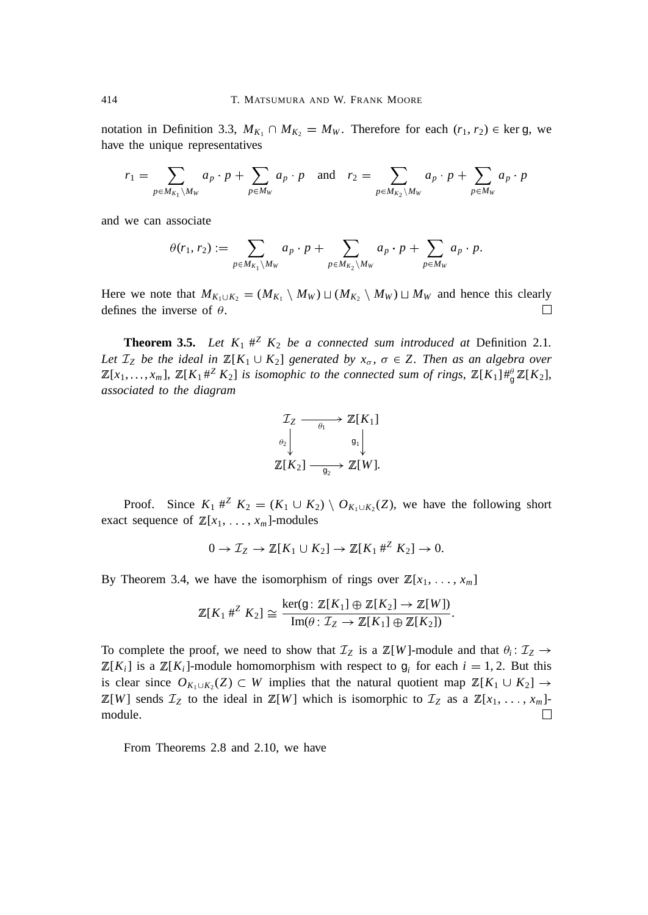notation in Definition 3.3,  $M_{K_1} \cap M_{K_2} = M_W$ . Therefore for each  $(r_1, r_2) \in \text{ker } g$ , we have the unique representatives

$$
r_1 = \sum_{p \in M_{K_1} \backslash M_W} a_p \cdot p + \sum_{p \in M_W} a_p \cdot p \quad \text{and} \quad r_2 = \sum_{p \in M_{K_2} \backslash M_W} a_p \cdot p + \sum_{p \in M_W} a_p \cdot p
$$

and we can associate

$$
\theta(r_1,r_2) := \sum_{p \in M_{K_1} \backslash M_W} a_p \cdot p + \sum_{p \in M_{K_2} \backslash M_W} a_p \cdot p + \sum_{p \in M_W} a_p \cdot p.
$$

Here we note that  $M_{K_1 \cup K_2} = (M_{K_1} \setminus M_W) \sqcup (M_{K_2} \setminus M_W) \sqcup M_W$  and hence this clearly defines the inverse of  $\theta$ .  $\Box$ 

**Theorem 3.5.** *Let*  $K_1 \#^Z K_2$  *be a connected sum introduced at* Definition 2.1*. Let*  $\mathcal{I}_Z$  *be the ideal in*  $\mathbb{Z}[K_1 \cup K_2]$  *generated by*  $x_{\sigma}$ ,  $\sigma \in Z$ *. Then as an algebra over*  $\mathbb{Z}[x_1,\ldots,x_m], \ \mathbb{Z}[K_1\#^Z K_2]$  is isomophic to the connected sum of rings,  $\mathbb{Z}[K_1]\#^{\theta}_{\mathcal{G}}\mathbb{Z}[K_2]$ , *associated to the diagram*



Proof. Since  $K_1 \#^Z K_2 = (K_1 \cup K_2) \setminus O_{K_1 \cup K_2}(Z)$ , we have the following short exact sequence of  $\mathbb{Z}[x_1, \ldots, x_m]$ -modules

$$
0 \to \mathcal{I}_Z \to \mathbb{Z}[K_1 \cup K_2] \to \mathbb{Z}[K_1 \#^Z K_2] \to 0.
$$

By Theorem 3.4, we have the isomorphism of rings over  $\mathbb{Z}[x_1, \ldots, x_m]$ 

$$
\mathbb{Z}[K_1 \#^Z K_2] \cong \frac{\ker(g \colon \mathbb{Z}[K_1] \oplus \mathbb{Z}[K_2] \to \mathbb{Z}[W])}{\text{Im}(\theta \colon \mathcal{I}_Z \to \mathbb{Z}[K_1] \oplus \mathbb{Z}[K_2])}.
$$

To complete the proof, we need to show that  $\mathcal{I}_Z$  is a  $\mathbb{Z}[W]$ -module and that  $\theta_i : \mathcal{I}_Z \to$  $\mathbb{Z}[K_i]$  is a  $\mathbb{Z}[K_i]$ -module homomorphism with respect to  $g_i$  for each  $i = 1, 2$ . But this is clear since  $O_{K_1\cup K_2}(Z) \subset W$  implies that the natural quotient map  $\mathbb{Z}[K_1 \cup K_2] \to$  $\mathbb{Z}[W]$  sends  $\mathcal{I}_Z$  to the ideal in  $\mathbb{Z}[W]$  which is isomorphic to  $\mathcal{I}_Z$  as a  $\mathbb{Z}[x_1, \ldots, x_m]$ module.  $\Box$ 

From Theorems 2.8 and 2.10, we have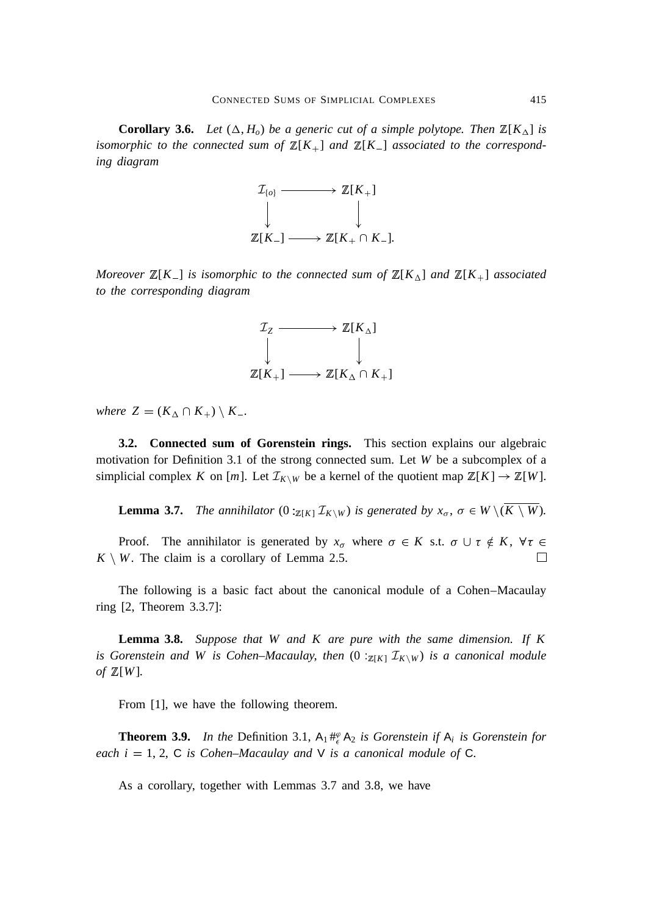**Corollary 3.6.** *Let*  $(\Delta, H_o)$  *be a generic cut of a simple polytope. Then*  $\mathbb{Z}[K_\Delta]$  *is isomorphic to the connected sum of*  $\mathbb{Z}[K_+]$  *and*  $\mathbb{Z}[K_-]$  *associated to the corresponding diagram*



*Moreover*  $\mathbb{Z}[K_{-}]$  *is isomorphic to the connected sum of*  $\mathbb{Z}[K_{\Delta}]$  *and*  $\mathbb{Z}[K_{+}]$  *associated to the corresponding diagram*



*where*  $Z = (K_{\Delta} \cap K_{+}) \setminus K_{-}$ .

**3.2. Connected sum of Gorenstein rings.** This section explains our algebraic motivation for Definition 3.1 of the strong connected sum. Let *W* be a subcomplex of a simplicial complex *K* on [*m*]. Let  $\mathcal{I}_{K\setminus W}$  be a kernel of the quotient map  $\mathbb{Z}[K] \to \mathbb{Z}[W]$ .

**Lemma 3.7.** *The annihilator*  $(0:_{\mathbb{Z}[K]} \mathcal{I}_{K \setminus W})$  *is generated by*  $x_{\sigma}$ ,  $\sigma \in W \setminus (\overline{K \setminus W})$ *.* 

Proof. The annihilator is generated by  $x_{\sigma}$  where  $\sigma \in K$  s.t.  $\sigma \cup \tau \notin K$ ,  $\forall \tau \in$  $K \setminus W$ . The claim is a corollary of Lemma 2.5.  $\Box$ 

The following is a basic fact about the canonical module of a Cohen–Macaulay ring [2, Theorem 3.3.7]:

**Lemma 3.8.** *Suppose that W and K are pure with the same dimension. If K is Gorenstein and W is Cohen–Macaulay, then*  $(0:_{Z[K]} \mathcal{I}_{K \setminus W})$  *is a canonical module of* <sup>Z</sup>[*W*]*.*

From [1], we have the following theorem.

**Theorem 3.9.** In the Definition 3.1,  $A_1 \#_{\epsilon}^{\varphi} A_2$  is Gorenstein if  $A_i$  is Gorenstein for *each i* = 1, 2, C *is Cohen–Macaulay and*  $V$  *is a canonical module of* C.

As a corollary, together with Lemmas 3.7 and 3.8, we have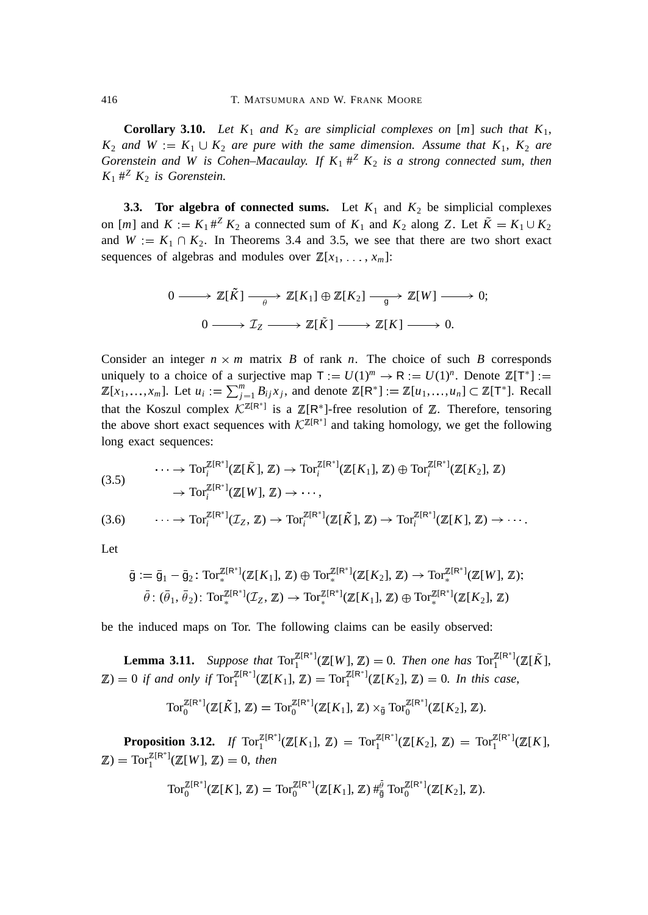**Corollary 3.10.** *Let*  $K_1$  *and*  $K_2$  *are simplicial complexes on* [*m*] *such that*  $K_1$ ,  $K_2$  *and*  $W := K_1 \cup K_2$  *are pure with the same dimension. Assume that*  $K_1$ ,  $K_2$  *are Gorenstein and W is Cohen–Macaulay. If K*<sup>1</sup> # *<sup>Z</sup> K*<sup>2</sup> *is a strong connected sum*, *then*  $K_1$   $\#^Z$   $K_2$  *is Gorenstein.* 

**3.3. Tor algebra of connected sums.** Let  $K_1$  and  $K_2$  be simplicial complexes on [*m*] and  $K := K_1 \#^Z K_2$  a connected sum of  $K_1$  and  $K_2$  along Z. Let  $\tilde{K} = K_1 \cup K_2$ and  $W = K_1 \cap K_2$ . In Theorems 3.4 and 3.5, we see that there are two short exact sequences of algebras and modules over  $\mathbb{Z}[x_1, \ldots, x_m]$ :

$$
0 \longrightarrow \mathbb{Z}[\tilde{K}] \longrightarrow \mathbb{Z}[K_1] \oplus \mathbb{Z}[K_2] \longrightarrow \mathbb{Z}[W] \longrightarrow 0;
$$
  

$$
0 \longrightarrow \mathcal{I}_Z \longrightarrow \mathbb{Z}[\tilde{K}] \longrightarrow \mathbb{Z}[K] \longrightarrow 0.
$$

Consider an integer  $n \times m$  matrix  $B$  of rank  $n$ . The choice of such  $B$  corresponds uniquely to a choice of a surjective map  $T := U(1)^m \rightarrow R := U(1)^n$ . Denote  $\mathbb{Z}[T^*] :=$  $\mathbb{Z}[x_1, \ldots, x_m]$ . Let  $u_i := \sum_{j=1}^m B_{ij}x_j$ , and denote  $\mathbb{Z}[\mathbb{R}^*] := \mathbb{Z}[u_1, \ldots, u_n] \subset \mathbb{Z}[\mathbb{T}^*]$ . Recall that the Koszul complex  $K^{\mathbb{Z}[R^*]}$  is a  $\mathbb{Z}[R^*]$ -free resolution of  $\mathbb{Z}$ . Therefore, tensoring the above short exact sequences with  $K^{\mathbb{Z}[R^*]}$  and taking homology, we get the following long exact sequences:

$$
\cdots \to \operatorname{Tor}_i^{\mathbb{Z}[\mathsf{R}^*]}(\mathbb{Z}[\tilde{K}], \mathbb{Z}) \to \operatorname{Tor}_i^{\mathbb{Z}[\mathsf{R}^*]}(\mathbb{Z}[K_1], \mathbb{Z}) \oplus \operatorname{Tor}_i^{\mathbb{Z}[\mathsf{R}^*]}(\mathbb{Z}[K_2], \mathbb{Z})
$$
  

$$
\to \operatorname{Tor}_i^{\mathbb{Z}[\mathsf{R}^*]}(\mathbb{Z}[W], \mathbb{Z}) \to \cdots,
$$

$$
(3.6) \qquad \cdots \to \operatorname{Tor}_i^{\mathbb{Z}[\mathbb{R}^*]}(\mathcal{I}_Z, \mathbb{Z}) \to \operatorname{Tor}_i^{\mathbb{Z}[\mathbb{R}^*]}(\mathbb{Z}[\tilde{K}], \mathbb{Z}) \to \operatorname{Tor}_i^{\mathbb{Z}[\mathbb{R}^*]}(\mathbb{Z}[K], \mathbb{Z}) \to \cdots.
$$

Let

$$
\overline{\mathfrak{g}} := \overline{\mathfrak{g}}_1 - \overline{\mathfrak{g}}_2 \colon \text{Tor}_*^{\mathbb{Z}[\mathsf{R}^*]}(\mathbb{Z}[K_1], \mathbb{Z}) \oplus \text{Tor}_*^{\mathbb{Z}[\mathsf{R}^*]}(\mathbb{Z}[K_2], \mathbb{Z}) \to \text{Tor}_*^{\mathbb{Z}[\mathsf{R}^*]}(\mathbb{Z}[W], \mathbb{Z});
$$
  

$$
\overline{\theta} : (\overline{\theta}_1, \overline{\theta}_2) \colon \text{Tor}_*^{\mathbb{Z}[\mathsf{R}^*]}(\mathbb{Z}_Z, \mathbb{Z}) \to \text{Tor}_*^{\mathbb{Z}[\mathsf{R}^*]}(\mathbb{Z}[K_1], \mathbb{Z}) \oplus \text{Tor}_*^{\mathbb{Z}[\mathsf{R}^*]}(\mathbb{Z}[K_2], \mathbb{Z})
$$

be the induced maps on Tor. The following claims can be easily observed:

**Lemma 3.11.** Suppose that  $Tor_1^{\mathbb{Z}[R^*]}(\mathbb{Z}[W], \mathbb{Z}) = 0$ . Then one has  $Tor_1^{\mathbb{Z}[R^*]}(\mathbb{Z}[\tilde{K}],$  $\mathbb{Z}$ ) = 0 *if and only if*  $\text{Tor}_{1}^{\mathbb{Z}[R^{*}]}(\mathbb{Z}[K_{1}], \mathbb{Z}) = \text{Tor}_{1}^{\mathbb{Z}[R^{*}]}(\mathbb{Z}[K_{2}], \mathbb{Z}) = 0$ *. In this case*,

$$
\operatorname{Tor}_0^{\mathbb{Z}[\mathsf{R}^*]}(\mathbb{Z}[\tilde{K}],\mathbb{Z})=\operatorname{Tor}_0^{\mathbb{Z}[\mathsf{R}^*]}(\mathbb{Z}[K_1],\mathbb{Z})\times_{\tilde{\mathfrak{g}}}\operatorname{Tor}_0^{\mathbb{Z}[\mathsf{R}^*]}(\mathbb{Z}[K_2],\mathbb{Z}).
$$

**Proposition 3.12.** *If*  $Tor_1^{\mathbb{Z}[R^*]}(\mathbb{Z}[K_1], \mathbb{Z}) = Tor_1^{\mathbb{Z}[R^*]}(\mathbb{Z}[K_2], \mathbb{Z}) = Tor_1^{\mathbb{Z}[R^*]}(\mathbb{Z}[K],$  $\mathbb{Z}$ ) = Tor<sub>1</sub><sup> $\mathbb{Z}[\mathbb{R}^*](\mathbb{Z}[W], \mathbb{Z}) = 0$ , then</sup>

$$
\operatorname{Tor}_0^{\mathbb{Z}[\mathsf{R}^*]}(\mathbb{Z}[K],\,\mathbb{Z})=\operatorname{Tor}_0^{\mathbb{Z}[\mathsf{R}^*]}(\mathbb{Z}[K_1],\,\mathbb{Z})\,\#_{\tilde{g}}^{\tilde{g}}\operatorname{Tor}_0^{\mathbb{Z}[\mathsf{R}^*]}(\mathbb{Z}[K_2],\,\mathbb{Z}).
$$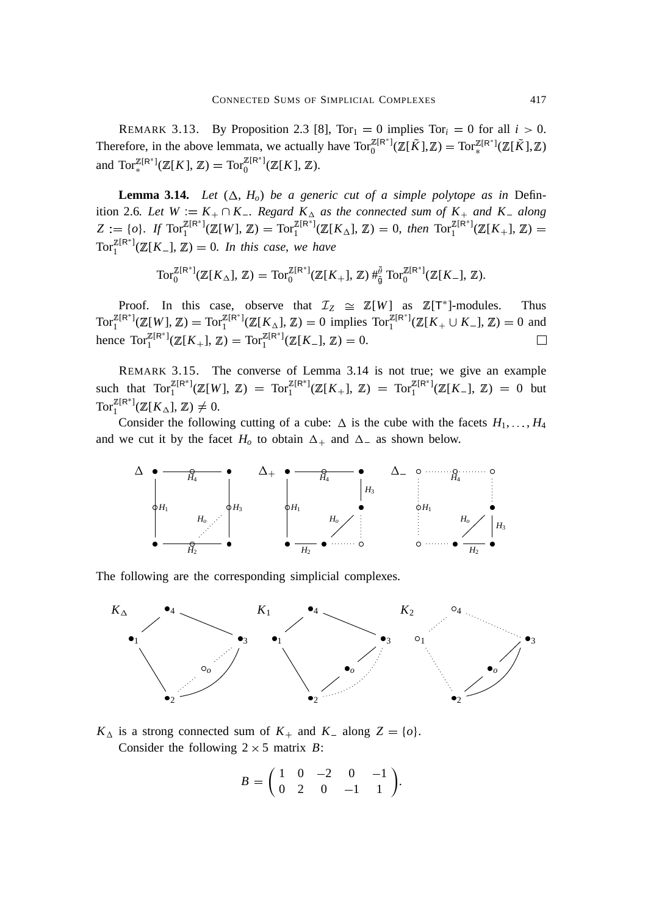REMARK 3.13. By Proposition 2.3 [8],  $Tor_1 = 0$  implies  $Tor_i = 0$  for all  $i > 0$ . Therefore, in the above lemmata, we actually have  $\text{Tor}_0^{\mathbb{Z}[\mathsf{R}^*]}(\mathbb{Z}[\tilde{K}],\mathbb{Z}) = \text{Tor}_*^{\mathbb{Z}[\mathsf{R}^*]}(\mathbb{Z}[\tilde{K}],\mathbb{Z})$ and  $\operatorname{Tor}^{\mathbb{Z}[R^*]}_*({\mathbb{Z}}[K],{\mathbb{Z}}) = \operatorname{Tor}^{\mathbb{Z}[R^*]}_0({\mathbb{Z}}[K],{\mathbb{Z}}).$ 

**Lemma 3.14.** *Let*  $(\Delta, H_o)$  *be a generic cut of a simple polytope as in* Definition 2.6*. Let*  $W := K_+ \cap K_-$ *. Regard*  $K_\Delta$  *as the connected sum of*  $K_+$  *and*  $K_-$  *along*  $Z := \{o\}$ . If  $Tor_1^{\mathbb{Z}[\mathbb{R}^*]}(\mathbb{Z}[W], \mathbb{Z}) = Tor_1^{\mathbb{Z}[\mathbb{R}^*]}(\mathbb{Z}[K_\Delta], \mathbb{Z}) = 0$ , then  $Tor_1^{\mathbb{Z}[\mathbb{R}^*]}(\mathbb{Z}[K_+] , \mathbb{Z}) = 0$  $\text{Tor}_{1}^{\mathbb{Z}[\mathsf{R}^{*}]}(\mathbb{Z}[K_{-}], \mathbb{Z}) = 0$ . In this case, we have

$$
\operatorname{Tor}_0^{\mathbb{Z}[\mathsf{R}^*]}(\mathbb{Z}[K_\Delta],\,\mathbb{Z})=\operatorname{Tor}_0^{\mathbb{Z}[\mathsf{R}^*]}(\mathbb{Z}[K_+],\,\mathbb{Z})\,\#_{\tilde{g}}^{\tilde{\theta}}\operatorname{Tor}_0^{\mathbb{Z}[\mathsf{R}^*]}(\mathbb{Z}[K_-],\,\mathbb{Z}).
$$

Proof. In this case, observe that  $\mathcal{I}_Z \cong \mathbb{Z}[W]$  as  $\mathbb{Z}[T^*]$ -modules. Thus  $\text{Tor}_{1}^{\mathbb{Z}[\mathsf{R}^{*}]}(\mathbb{Z}[W], \mathbb{Z}) = \text{Tor}_{1}^{\mathbb{Z}[\mathsf{R}^{*}]}(\mathbb{Z}[K_{\Delta}], \mathbb{Z}) = 0$  implies  $\text{Tor}_{1}^{\mathbb{Z}[\mathsf{R}^{*}]}(\mathbb{Z}[K_{+} \cup K_{-}], \mathbb{Z}) = 0$  and hence  $\text{Tor}_{1}^{\mathbb{Z}[\mathsf{R}^{*}]}(\mathbb{Z}[K_{+}], \mathbb{Z}) = \text{Tor}_{1}^{\mathbb{Z}[\mathsf{R}^{*}]}(\mathbb{Z}[K_{-}], \mathbb{Z}) = 0.$  $\Box$ 

REMARK 3.15. The converse of Lemma 3.14 is not true; we give an example such that  $\text{Tor}_{1}^{\mathbb{Z}[R^{*}]}(\mathbb{Z}[W], \mathbb{Z}) = \text{Tor}_{1}^{\mathbb{Z}[R^{*}]}(\mathbb{Z}[K_{+}], \mathbb{Z}) = \text{Tor}_{1}^{\mathbb{Z}[R^{*}]}(\mathbb{Z}[K_{-}], \mathbb{Z}) = 0$  but Tor<sub>1</sub><sup> $\mathbb{Z}^{[\mathsf{R}^*]}(\mathbb{Z}[K_\Delta], \mathbb{Z}) \neq 0.$ </sup>

Consider the following cutting of a cube:  $\Delta$  is the cube with the facets  $H_1, \ldots, H_4$ and we cut it by the facet  $H_0$  to obtain  $\Delta_+$  and  $\Delta_-$  as shown below.



The following are the corresponding simplicial complexes.



 $K_{\Delta}$  is a strong connected sum of  $K_{+}$  and  $K_{-}$  along  $Z = \{o\}.$ Consider the following  $2 \times 5$  matrix *B*:

$$
B = \begin{pmatrix} 1 & 0 & -2 & 0 & -1 \\ 0 & 2 & 0 & -1 & 1 \end{pmatrix}.
$$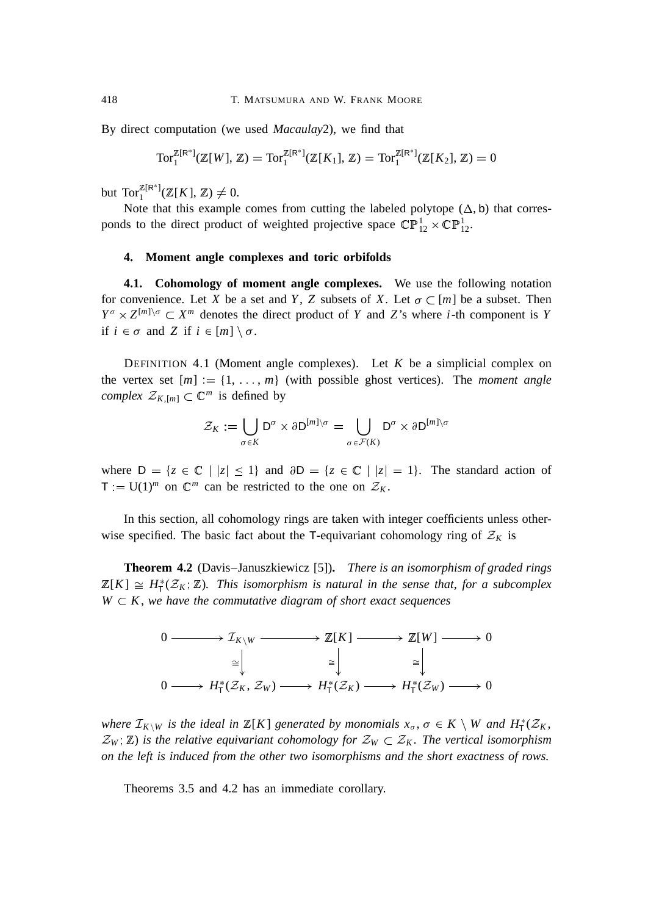By direct computation (we used *Macaulay*2), we find that

Tor<sub>1</sub><sup>Z[R<sup>\*</sup>](</sup>
$$
\mathbb{Z}[W]
$$
,  $\mathbb{Z}) = \text{Tor}_1^{\mathbb{Z}[R^*]}(\mathbb{Z}[K_1], \mathbb{Z}) = \text{Tor}_1^{\mathbb{Z}[R^*]}(\mathbb{Z}[K_2], \mathbb{Z}) = 0$ 

but  $\text{Tor}_{1}^{\mathbb{Z}[R^{*}]}(\mathbb{Z}[K], \mathbb{Z}) \neq 0.$ 

Note that this example comes from cutting the labeled polytope  $(\Delta, b)$  that corresponds to the direct product of weighted projective space  $\mathbb{CP}^1_{12} \times \mathbb{CP}^1_{12}$ .

## **4. Moment angle complexes and toric orbifolds**

**4.1. Cohomology of moment angle complexes.** We use the following notation for convenience. Let *X* be a set and *Y*, *Z* subsets of *X*. Let  $\sigma \subset [m]$  be a subset. Then  $Y^{\sigma} \times Z^{[m] \setminus \sigma} \subset X^m$  denotes the direct product of *Y* and *Z*'s where *i*-th component is *Y* if  $i \in \sigma$  and *Z* if  $i \in [m] \setminus \sigma$ .

DEFINITION 4.1 (Moment angle complexes). Let  $K$  be a simplicial complex on the vertex set  $[m] := \{1, \ldots, m\}$  (with possible ghost vertices). The *moment angle complex*  $\mathcal{Z}_{K,[m]} \subset \mathbb{C}^m$  is defined by

$$
\mathcal{Z}_K:=\bigcup_{\sigma\in K}{\sf D}^\sigma\times\partial{\sf D}^{[m]\setminus\sigma}=\bigcup_{\sigma\in\mathcal{F}(K)}{\sf D}^\sigma\times\partial{\sf D}^{[m]\setminus\sigma}
$$

where  $D = \{z \in \mathbb{C} \mid |z| \leq 1\}$  and  $\partial D = \{z \in \mathbb{C} \mid |z| = 1\}$ . The standard action of  $T = U(1)^m$  on  $\mathbb{C}^m$  can be restricted to the one on  $\mathcal{Z}_K$ .

In this section, all cohomology rings are taken with integer coefficients unless otherwise specified. The basic fact about the T-equivariant cohomology ring of  $\mathcal{Z}_K$  is

**Theorem 4.2** (Davis–Januszkiewicz [5])**.** *There is an isomorphism of graded rings*  $\mathbb{Z}[K] \cong H^*_{\mathsf{T}}(\mathcal{Z}_K;\mathbb{Z})$ . This isomorphism is natural in the sense that, for a subcomplex  $W \subset K$ , we have the commutative diagram of short exact sequences



*where*  $\mathcal{I}_{K\setminus W}$  *is the ideal in*  $\mathbb{Z}[K]$  *generated by monomials*  $x_{\sigma}$ ,  $\sigma \in K \setminus W$  *and*  $H^*_{\mathsf{T}}(\mathcal{Z}_K)$ ,  $\mathcal{Z}_W$ ;  $\mathbb{Z}$ ) is the relative equivariant cohomology for  $\mathcal{Z}_W \subset \mathcal{Z}_K$ . The vertical isomorphism *on the left is induced from the other two isomorphisms and the short exactness of rows.*

Theorems 3.5 and 4.2 has an immediate corollary.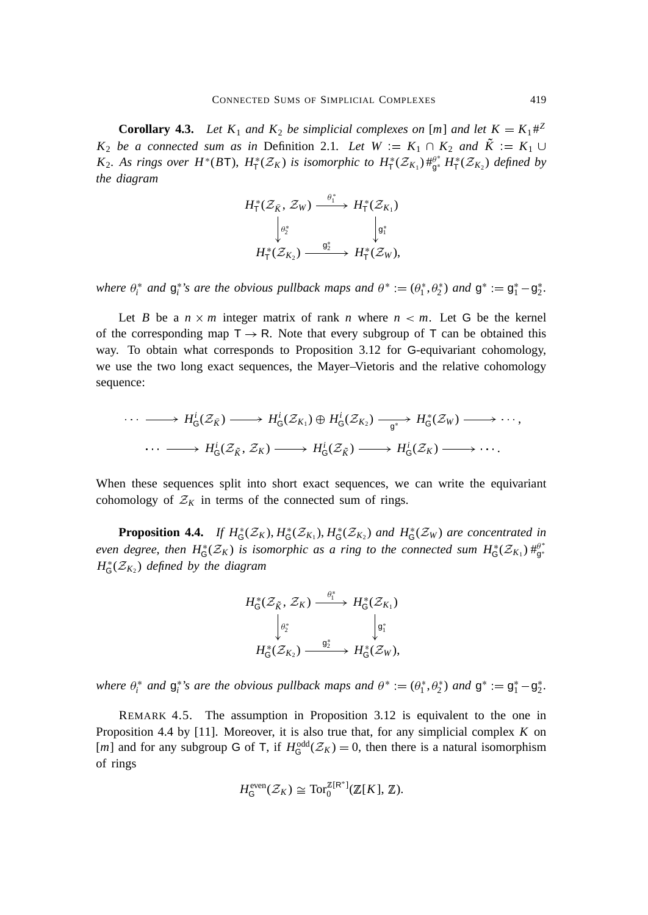**Corollary 4.3.** Let  $K_1$  and  $K_2$  be simplicial complexes on [m] and let  $K = K_1 \#^2$ *K*<sub>2</sub> *be a connected sum as in* Definition 2.1*. Let*  $W = K_1 \cap K_2$  *and*  $K = K_1 \cup$ *K*<sub>2</sub>. As rings over  $H^*(B\mathsf{T})$ ,  $H^*_{\mathsf{T}}(\mathcal{Z}_K)$  is isomorphic to  $H^*_{\mathsf{T}}(\mathcal{Z}_{K_1})\#^{\rho^*}_{\mathsf{g}^*}H^*_{\mathsf{T}}(\mathcal{Z}_{K_2})$  defined by *the diagram*

$$
H_{\mathsf{T}}^*(\mathcal{Z}_{\tilde{K}}, \mathcal{Z}_W) \xrightarrow{\theta_1^*} H_{\mathsf{T}}^*(\mathcal{Z}_{K_1})
$$

$$
\downarrow \qquad \qquad \downarrow \qquad \qquad \downarrow \qquad \qquad \downarrow \qquad \downarrow
$$

$$
H_{\mathsf{T}}^*(\mathcal{Z}_{K_2}) \xrightarrow{\mathsf{g}_2^*} H_{\mathsf{T}}^*(\mathcal{Z}_W),
$$

where  $\theta_i^*$  and  $g_i^*$ 's are the obvious pullback maps and  $\theta^* := (\theta_1^*, \theta_2^*)$  and  $g^* := g_1^* - g_2^*$ .

Let *B* be a  $n \times m$  integer matrix of rank *n* where  $n < m$ . Let G be the kernel of the corresponding map  $T \rightarrow R$ . Note that every subgroup of T can be obtained this way. To obtain what corresponds to Proposition 3.12 for G-equivariant cohomology, we use the two long exact sequences, the Mayer–Vietoris and the relative cohomology sequence:

$$
\cdots \longrightarrow H^i_{\mathsf{G}}(\mathcal{Z}_{\tilde{K}}) \longrightarrow H^i_{\mathsf{G}}(\mathcal{Z}_{K_1}) \oplus H^i_{\mathsf{G}}(\mathcal{Z}_{K_2}) \longrightarrow H^i_{\mathsf{G}}(\mathcal{Z}_{W}) \longrightarrow \cdots,
$$
  

$$
\cdots \longrightarrow H^i_{\mathsf{G}}(\mathcal{Z}_{\tilde{K}}, \mathcal{Z}_{K}) \longrightarrow H^i_{\mathsf{G}}(\mathcal{Z}_{\tilde{K}}) \longrightarrow H^i_{\mathsf{G}}(\mathcal{Z}_{K}) \longrightarrow \cdots.
$$

When these sequences split into short exact sequences, we can write the equivariant cohomology of  $\mathcal{Z}_K$  in terms of the connected sum of rings.

**Proposition 4.4.** *If*  $H_G^*(\mathcal{Z}_K)$ ,  $H_G^*(\mathcal{Z}_{K_1})$ ,  $H_G^*(\mathcal{Z}_{K_2})$  *and*  $H_G^*(\mathcal{Z}_W)$  *are concentrated in* even degree, then  $H^*_G(\mathcal{Z}_K)$  is isomorphic as a ring to the connected sum  $H^*_G(\mathcal{Z}_{K_1})\#^{\rho*}_{g^*}$  $H^*_{\mathsf{G}}(\mathcal{Z}_{K_2})$  *defined by the diagram* 



where  $\theta_i^*$  and  $g_i^*$ 's are the obvious pullback maps and  $\theta^* := (\theta_1^*, \theta_2^*)$  and  $g^* := g_1^* - g_2^*$ .

REMARK 4.5. The assumption in Proposition 3.12 is equivalent to the one in Proposition 4.4 by [11]. Moreover, it is also true that, for any simplicial complex *K* on [*m*] and for any subgroup G of T, if  $H_G^{\text{odd}}(\mathcal{Z}_K) = 0$ , then there is a natural isomorphism of rings

$$
H_{\mathsf{G}}^{\text{even}}(\mathcal{Z}_K) \cong \text{Tor}_0^{\mathbb{Z}[\mathsf{R}^*]}(\mathbb{Z}[K], \mathbb{Z}).
$$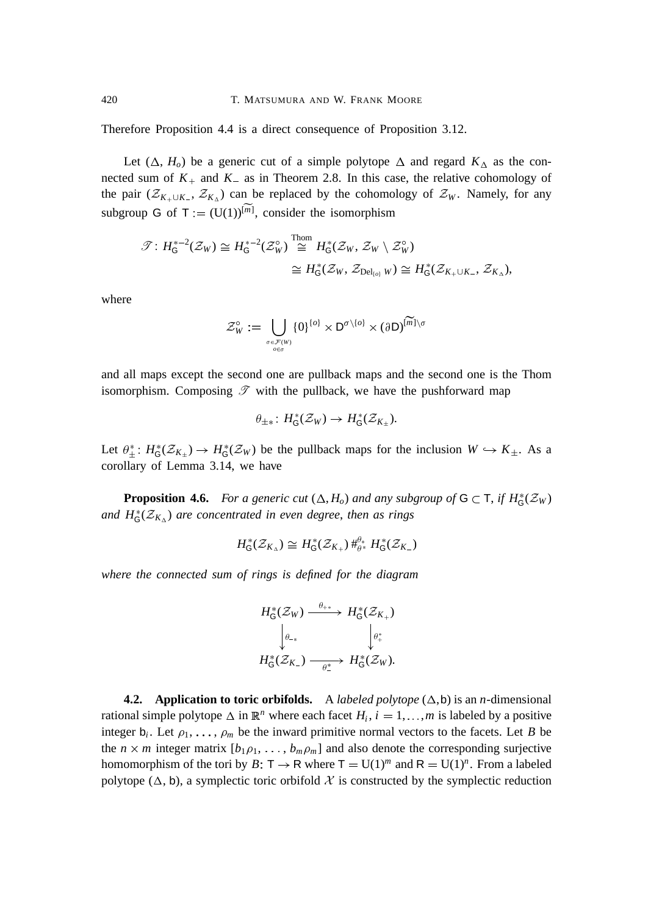Therefore Proposition 4.4 is a direct consequence of Proposition 3.12.

Let  $(\Delta, H_o)$  be a generic cut of a simple polytope  $\Delta$  and regard  $K_\Delta$  as the connected sum of  $K_{+}$  and  $K_{-}$  as in Theorem 2.8. In this case, the relative cohomology of the pair  $(\mathcal{Z}_{K_+ \cup K_-}, \mathcal{Z}_{K_\Delta})$  can be replaced by the cohomology of  $\mathcal{Z}_W$ . Namely, for any subgroup G of  $T = (U(1))^{[m]}$ , consider the isomorphism

$$
\mathscr{T}: H_{\mathsf{G}}^{*-2}(\mathcal{Z}_W) \cong H_{\mathsf{G}}^{*-2}(\mathcal{Z}_W^{\circ}) \stackrel{\text{Thom}}{\cong} H_{\mathsf{G}}^{*}(\mathcal{Z}_W, \mathcal{Z}_W \setminus \mathcal{Z}_W^{\circ})
$$
  

$$
\cong H_{\mathsf{G}}^{*}(\mathcal{Z}_W, \mathcal{Z}_{\mathrm{Del}_{\{o\}}} W) \cong H_{\mathsf{G}}^{*}(\mathcal{Z}_{K_+ \cup K_-}, \mathcal{Z}_{K_{\Delta}}),
$$

where

$$
\mathcal{Z}_W^\circ := \bigcup_{\sigma \in \mathcal{F}(W) \atop \sigma \in \sigma} \{0\}^{\{\sigma\}} \times \mathsf{D}^{\sigma \setminus \{\sigma\}} \times (\partial \mathsf{D})^{\widetilde{[m]}\setminus \sigma}
$$

and all maps except the second one are pullback maps and the second one is the Thom isomorphism. Composing  $\mathscr T$  with the pullback, we have the pushforward map

$$
\theta_{\pm *} \colon H^*_{\mathsf{G}}(\mathcal{Z}_W) \to H^*_{\mathsf{G}}(\mathcal{Z}_{K_{\pm}}).
$$

Let  $\theta^*_{\pm}$ :  $H^*_G(\mathcal{Z}_{K_{\pm}}) \to H^*_G(\mathcal{Z}_W)$  be the pullback maps for the inclusion  $W \hookrightarrow K_{\pm}$ . As a corollary of Lemma 3.14, we have

**Proposition 4.6.** For a generic cut  $(\Delta, H_o)$  and any subgroup of  $G \subset T$ , if  $H_G^*(\mathcal{Z}_W)$ and  $H^*_{\mathsf{G}}(\mathcal{Z}_{K_{\Delta}})$  are concentrated in even degree, then as rings

$$
H^*_{\mathsf{G}}(\mathcal{Z}_{K_\Delta}) \cong H^*_{\mathsf{G}}(\mathcal{Z}_{K_+}) \#^{\theta_*}_{\theta^*} H^*_{\mathsf{G}}(\mathcal{Z}_{K_-})
$$

*where the connected sum of rings is defined for the diagram*

$$
H_{\mathsf{G}}^*(\mathcal{Z}_W) \xrightarrow{\theta_{+*}} H_{\mathsf{G}}^*(\mathcal{Z}_{K_+})
$$

$$
\downarrow_{\theta_{-*}} \qquad \qquad \downarrow_{\theta_{+}^*}
$$

$$
H_{\mathsf{G}}^*(\mathcal{Z}_{K_-}) \xrightarrow{\theta_{+}} H_{\mathsf{G}}^*(\mathcal{Z}_W).
$$

**4.2. Application to toric orbifolds.** A *labeled polytope*  $(\Delta, b)$  is an *n*-dimensional rational simple polytope  $\Delta$  in  $\mathbb{R}^n$  where each facet  $H_i$ ,  $i = 1, ..., m$  is labeled by a positive integer  $b_i$ . Let  $\rho_1, \ldots, \rho_m$  be the inward primitive normal vectors to the facets. Let *B* be the  $n \times m$  integer matrix  $[b_1 \rho_1, \ldots, b_m \rho_m]$  and also denote the corresponding surjective homomorphism of the tori by *B*:  $T \rightarrow R$  where  $T = U(1)^m$  and  $R = U(1)^n$ . From a labeled polytope ( $\Delta$ , b), a symplectic toric orbifold X is constructed by the symplectic reduction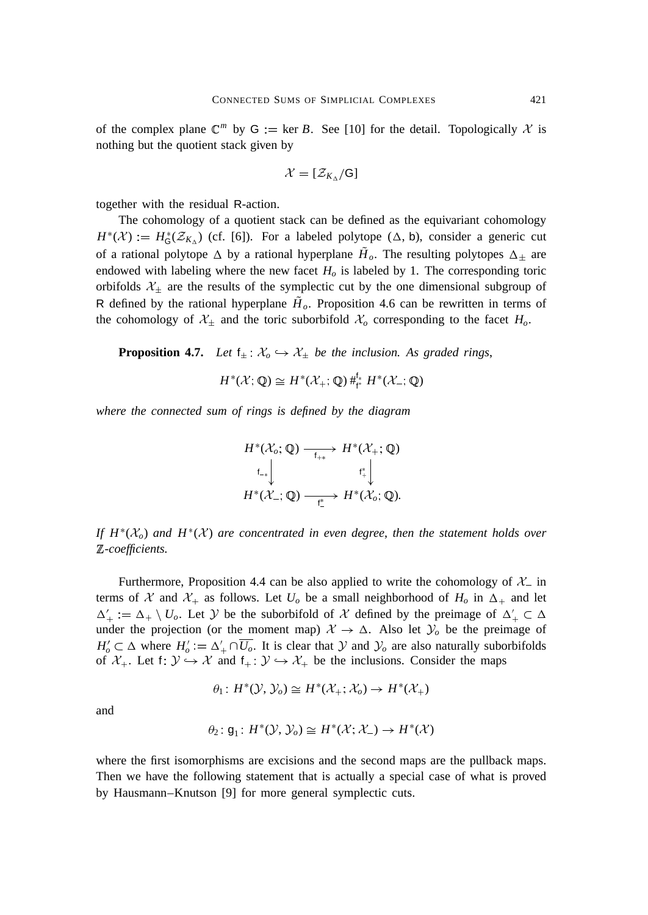of the complex plane  $\mathbb{C}^m$  by  $G := \text{ker } B$ . See [10] for the detail. Topologically X is nothing but the quotient stack given by

$$
\mathcal{X}=[\mathcal{Z}_{K_{\Delta}}/G]
$$

together with the residual R-action.

The cohomology of a quotient stack can be defined as the equivariant cohomology  $H^*(\mathcal{X}) = H^*_{\mathsf{G}}(\mathcal{Z}_{K_\Delta})$  (cf. [6]). For a labeled polytope  $(\Delta, \mathsf{b})$ , consider a generic cut of a rational polytope  $\Delta$  by a rational hyperplane  $H_o$ . The resulting polytopes  $\Delta_{\pm}$  are endowed with labeling where the new facet *H<sup>o</sup>* is labeled by 1. The corresponding toric orbifolds  $\mathcal{X}_{\pm}$  are the results of the symplectic cut by the one dimensional subgroup of R defined by the rational hyperplane  $H<sub>o</sub>$ . Proposition 4.6 can be rewritten in terms of the cohomology of  $\mathcal{X}_{\pm}$  and the toric suborbifold  $\mathcal{X}_{o}$  corresponding to the facet  $H_{o}$ .

**Proposition 4.7.** *Let*  $f_{\pm}$   $\mathcal{X}_o \hookrightarrow \mathcal{X}_{\pm}$  *be the inclusion. As graded rings,* 

$$
H^*(\mathcal{X};\mathbb{Q})\cong H^*(\mathcal{X}_+;\mathbb{Q})\,\#_{\mathrm{f}^*}^{\mathrm{f}_*}\,H^*(\mathcal{X}_-;\mathbb{Q})
$$

*where the connected sum of rings is defined by the diagram*

$$
H^*(\mathcal{X}_o; \mathbb{Q}) \xrightarrow[\mathsf{f}_{+*}]{} H^*(\mathcal{X}_+; \mathbb{Q})
$$
  
\n
$$
\downarrow[\mathsf{f}_{+*}] \qquad \qquad \mathsf{f}_{+}^* \downarrow \qquad \qquad \mathsf{f}_{+}^* \downarrow \qquad \qquad H^*(\mathcal{X}_o; \mathbb{Q}).
$$

*If*  $H^*(X_o)$  *and*  $H^*(X)$  *are concentrated in even degree, then the statement holds over* <sup>Z</sup>*-coefficients.*

Furthermore, Proposition 4.4 can be also applied to write the cohomology of  $\mathcal{X}_-$  in terms of X and  $\mathcal{X}_+$  as follows. Let  $U_o$  be a small neighborhood of  $H_o$  in  $\Delta_+$  and let  $\Delta'_{+} := \Delta_{+} \setminus U_o$ . Let Y be the suborbifold of X defined by the preimage of  $\Delta'_{+} \subset \Delta$ under the projection (or the moment map)  $\mathcal{X} \to \Delta$ . Also let  $\mathcal{Y}_o$  be the preimage of  $H'_o \subset \Delta$  where  $H'_o := \Delta'_+ \cap \overline{U_o}$ . It is clear that Y and  $\mathcal{Y}_o$  are also naturally suborbifolds of  $\mathcal{X}_+$ . Let f:  $\mathcal{Y} \hookrightarrow \mathcal{X}$  and  $f_+ : \mathcal{Y} \hookrightarrow \mathcal{X}_+$  be the inclusions. Consider the maps

$$
\theta_1: H^*(\mathcal{Y}, \mathcal{Y}_o) \cong H^*(\mathcal{X}_+; \mathcal{X}_o) \to H^*(\mathcal{X}_+)
$$

and

$$
\theta_2: \mathsf{g}_1: H^*(\mathcal{Y}, \mathcal{Y}_o) \cong H^*(\mathcal{X}; \mathcal{X}_-) \to H^*(\mathcal{X})
$$

where the first isomorphisms are excisions and the second maps are the pullback maps. Then we have the following statement that is actually a special case of what is proved by Hausmann–Knutson [9] for more general symplectic cuts.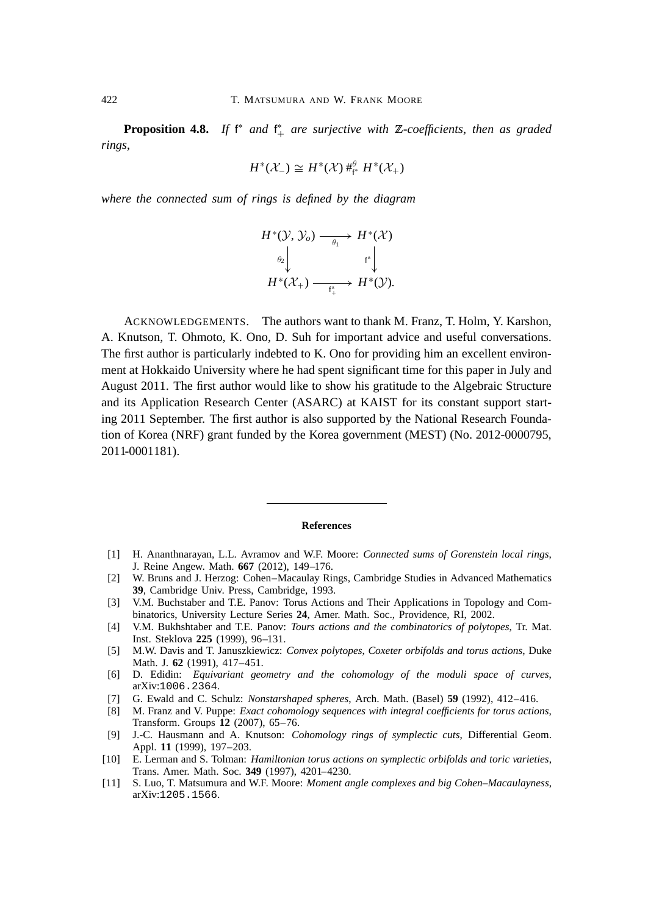**Proposition 4.8.** If  $f^*$  and  $f^*$  are surjective with  $\mathbb{Z}$ -coefficients, then as graded *rings*,

$$
H^*(\mathcal{X}_-) \cong H^*(\mathcal{X}) \, \#_{\mathsf{f}^*}^{\theta} \, H^*(\mathcal{X}_+)
$$

*where the connected sum of rings is defined by the diagram*

$$
H^*(\mathcal{Y}, \mathcal{Y}_o) \xrightarrow[\theta_1]{} H^*(\mathcal{X})
$$
  
\n
$$
\downarrow^{\theta_2} \downarrow \qquad \qquad f^* \downarrow
$$
  
\n
$$
H^*(\mathcal{X}_+) \xrightarrow[\theta_1]{} H^*(\mathcal{Y}).
$$

ACKNOWLEDGEMENTS. The authors want to thank M. Franz, T. Holm, Y. Karshon, A. Knutson, T. Ohmoto, K. Ono, D. Suh for important advice and useful conversations. The first author is particularly indebted to K. Ono for providing him an excellent environment at Hokkaido University where he had spent significant time for this paper in July and August 2011. The first author would like to show his gratitude to the Algebraic Structure and its Application Research Center (ASARC) at KAIST for its constant support starting 2011 September. The first author is also supported by the National Research Foundation of Korea (NRF) grant funded by the Korea government (MEST) (No. 2012-0000795, 2011-0001181).

#### **References**

- [1] H. Ananthnarayan, L.L. Avramov and W.F. Moore: *Connected sums of Gorenstein local rings*, J. Reine Angew. Math. **667** (2012), 149–176.
- [2] W. Bruns and J. Herzog: Cohen–Macaulay Rings, Cambridge Studies in Advanced Mathematics **39**, Cambridge Univ. Press, Cambridge, 1993.
- [3] V.M. Buchstaber and T.E. Panov: Torus Actions and Their Applications in Topology and Combinatorics, University Lecture Series **24**, Amer. Math. Soc., Providence, RI, 2002.
- [4] V.M. Bukhshtaber and T.E. Panov: *Tours actions and the combinatorics of polytopes*, Tr. Mat. Inst. Steklova **225** (1999), 96–131.
- [5] M.W. Davis and T. Januszkiewicz: *Convex polytopes*, *Coxeter orbifolds and torus actions*, Duke Math. J. **62** (1991), 417–451.
- [6] D. Edidin: *Equivariant geometry and the cohomology of the moduli space of curves*, arXiv:1006.2364.
- [7] G. Ewald and C. Schulz: *Nonstarshaped spheres*, Arch. Math. (Basel) **59** (1992), 412–416.
- [8] M. Franz and V. Puppe: *Exact cohomology sequences with integral coefficients for torus actions*, Transform. Groups **12** (2007), 65–76.
- [9] J.-C. Hausmann and A. Knutson: *Cohomology rings of symplectic cuts*, Differential Geom. Appl. **11** (1999), 197–203.
- [10] E. Lerman and S. Tolman: *Hamiltonian torus actions on symplectic orbifolds and toric varieties*, Trans. Amer. Math. Soc. **349** (1997), 4201–4230.
- [11] S. Luo, T. Matsumura and W.F. Moore: *Moment angle complexes and big Cohen–Macaulayness*, arXiv:1205.1566.